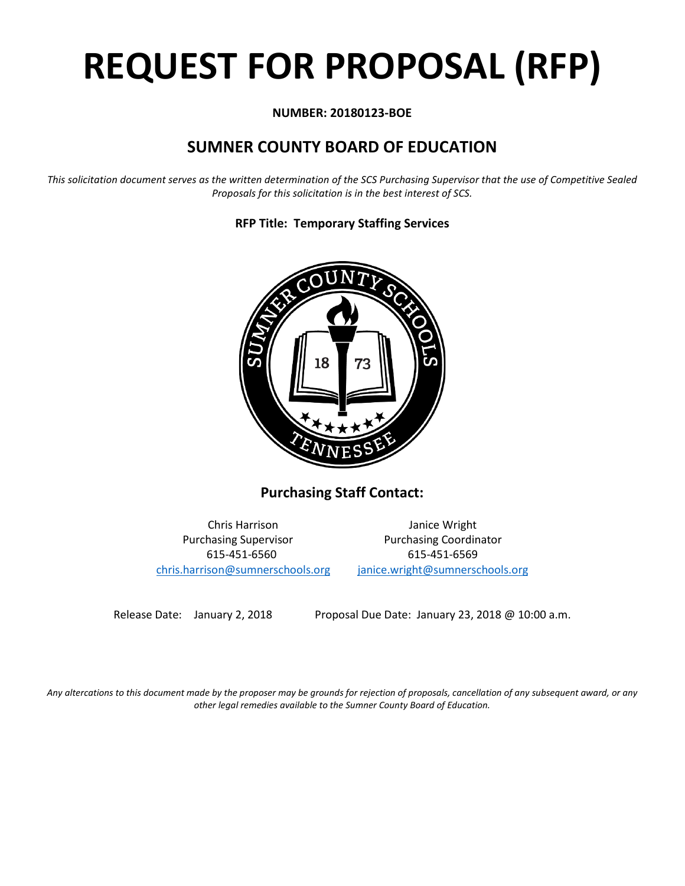# **REQUEST FOR PROPOSAL (RFP)**

#### **NUMBER: 20180123-BOE**

## **SUMNER COUNTY BOARD OF EDUCATION**

*This solicitation document serves as the written determination of the SCS Purchasing Supervisor that the use of Competitive Sealed Proposals for this solicitation is in the best interest of SCS.*



**RFP Title: Temporary Staffing Services**

**Purchasing Staff Contact:**

615-451-6560 615-451-6569 [chris.harrison@sumnerschools.org](mailto:chris.harrison@sumnerschools.org) [janice.wright@sumnerschools.org](mailto:janice.wright@sumnerschools.org)

Chris Harrison Janice Wright Purchasing Supervisor **Purchasing Coordinator** 

Release Date: January 2, 2018 Proposal Due Date: January 23, 2018 @ 10:00 a.m.

*Any altercations to this document made by the proposer may be grounds for rejection of proposals, cancellation of any subsequent award, or any other legal remedies available to the Sumner County Board of Education.*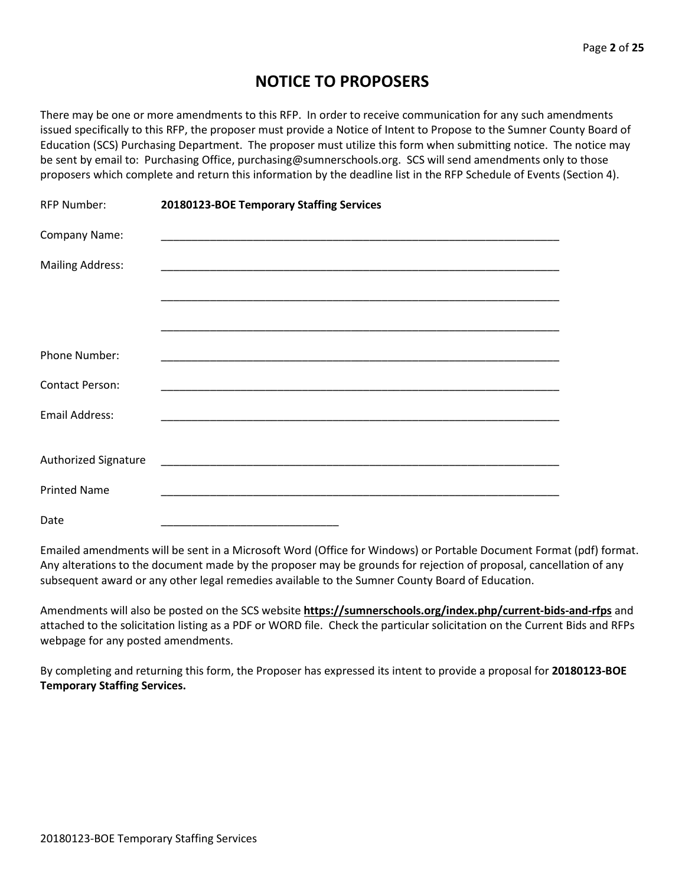## **NOTICE TO PROPOSERS**

There may be one or more amendments to this RFP. In order to receive communication for any such amendments issued specifically to this RFP, the proposer must provide a Notice of Intent to Propose to the Sumner County Board of Education (SCS) Purchasing Department. The proposer must utilize this form when submitting notice. The notice may be sent by email to: Purchasing Office, purchasing@sumnerschools.org. SCS will send amendments only to those proposers which complete and return this information by the deadline list in the RFP Schedule of Events (Section 4).

| RFP Number:             | 20180123-BOE Temporary Staffing Services |  |
|-------------------------|------------------------------------------|--|
| Company Name:           |                                          |  |
| <b>Mailing Address:</b> |                                          |  |
|                         |                                          |  |
|                         |                                          |  |
| <b>Phone Number:</b>    |                                          |  |
| <b>Contact Person:</b>  |                                          |  |
| <b>Email Address:</b>   |                                          |  |
|                         |                                          |  |
| Authorized Signature    |                                          |  |
| <b>Printed Name</b>     |                                          |  |
| Date                    |                                          |  |

Emailed amendments will be sent in a Microsoft Word (Office for Windows) or Portable Document Format (pdf) format. Any alterations to the document made by the proposer may be grounds for rejection of proposal, cancellation of any subsequent award or any other legal remedies available to the Sumner County Board of Education.

Amendments will also be posted on the SCS website **https://sumnerschools.org/index.php/current-bids-and-rfps** and attached to the solicitation listing as a PDF or WORD file. Check the particular solicitation on the Current Bids and RFPs webpage for any posted amendments.

By completing and returning this form, the Proposer has expressed its intent to provide a proposal for **20180123-BOE Temporary Staffing Services.**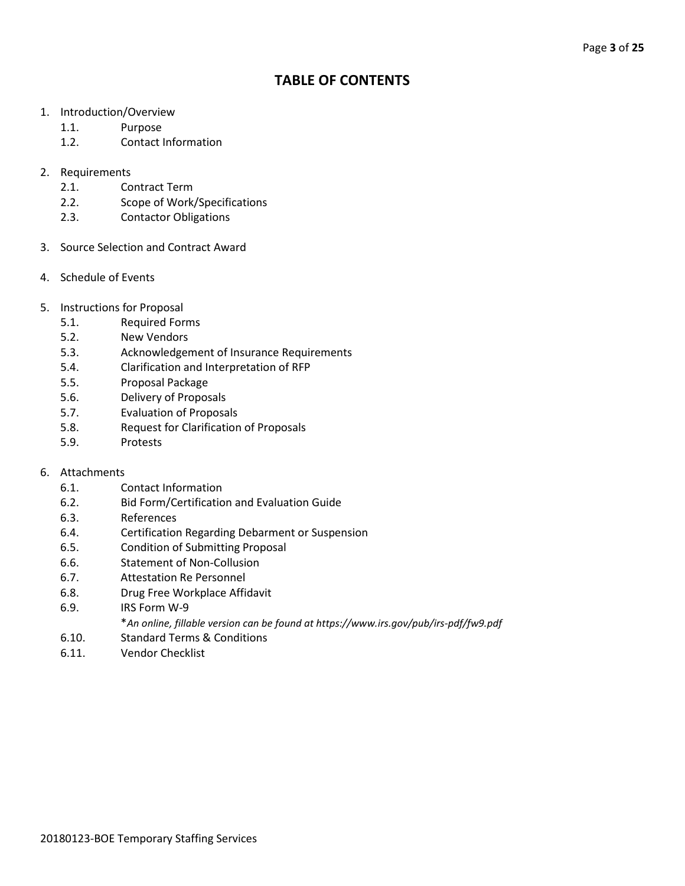### **TABLE OF CONTENTS**

- 1. Introduction/Overview
	- 1.1. Purpose
	- 1.2. Contact Information
- 2. Requirements
	- 2.1. Contract Term
	- 2.2. Scope of Work/Specifications
	- 2.3. Contactor Obligations
- 3. Source Selection and Contract Award
- 4. Schedule of Events
- 5. Instructions for Proposal
	- 5.1. Required Forms
	- 5.2. New Vendors
	- 5.3. Acknowledgement of Insurance Requirements
	- 5.4. Clarification and Interpretation of RFP
	- 5.5. Proposal Package
	- 5.6. Delivery of Proposals
	- 5.7. Evaluation of Proposals
	- 5.8. Request for Clarification of Proposals
	- 5.9. Protests

#### 6. Attachments

- 6.1. Contact Information
- 6.2. Bid Form/Certification and Evaluation Guide
- 6.3. References
- 6.4. Certification Regarding Debarment or Suspension
- 6.5. Condition of Submitting Proposal
- 6.6. Statement of Non-Collusion
- 6.7. Attestation Re Personnel
- 6.8. Drug Free Workplace Affidavit
- 6.9. IRS Form W-9
	- \**An online, fillable version can be found at https://www.irs.gov/pub/irs-pdf/fw9.pdf*
- 6.10. Standard Terms & Conditions
- 6.11. Vendor Checklist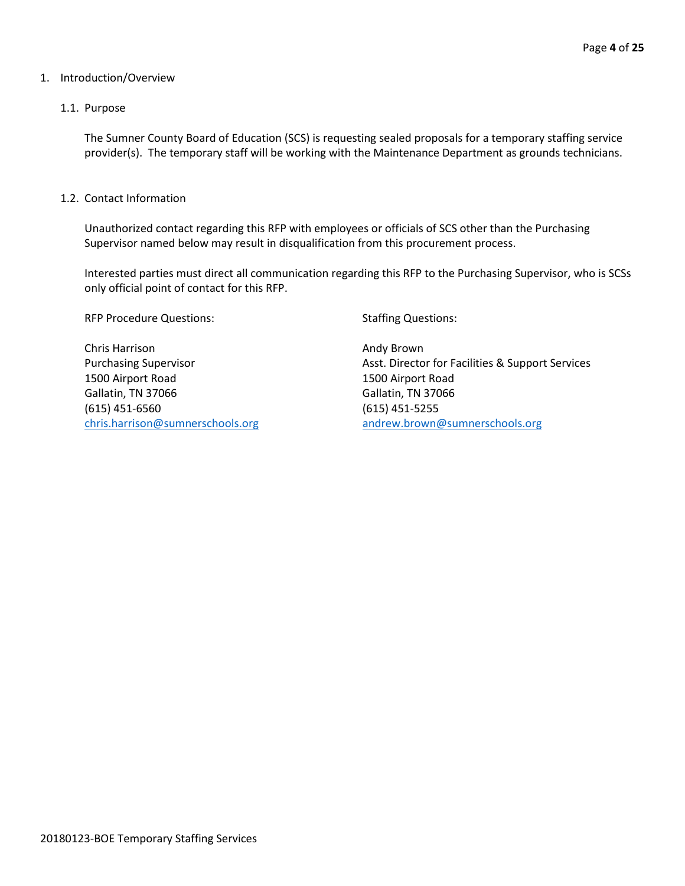#### 1. Introduction/Overview

#### 1.1. Purpose

The Sumner County Board of Education (SCS) is requesting sealed proposals for a temporary staffing service provider(s). The temporary staff will be working with the Maintenance Department as grounds technicians.

1.2. Contact Information

Unauthorized contact regarding this RFP with employees or officials of SCS other than the Purchasing Supervisor named below may result in disqualification from this procurement process.

Interested parties must direct all communication regarding this RFP to the Purchasing Supervisor, who is SCSs only official point of contact for this RFP.

RFP Procedure Questions: Staffing Questions:

Chris Harrison **Andy Brown Andy Brown** 1500 Airport Road 1500 Airport Road Gallatin, TN 37066 Gallatin, TN 37066 (615) 451-6560 (615) 451-5255 [chris.harrison@sumnerschools.org](mailto:chris.harrison@sumnerschools.org) [andrew.brown@sumnerschools.org](mailto:andrew.brown@sumnerschools.org)

Purchasing Supervisor **Asst. Director for Facilities & Support Services** Asst. Director for Facilities & Support Services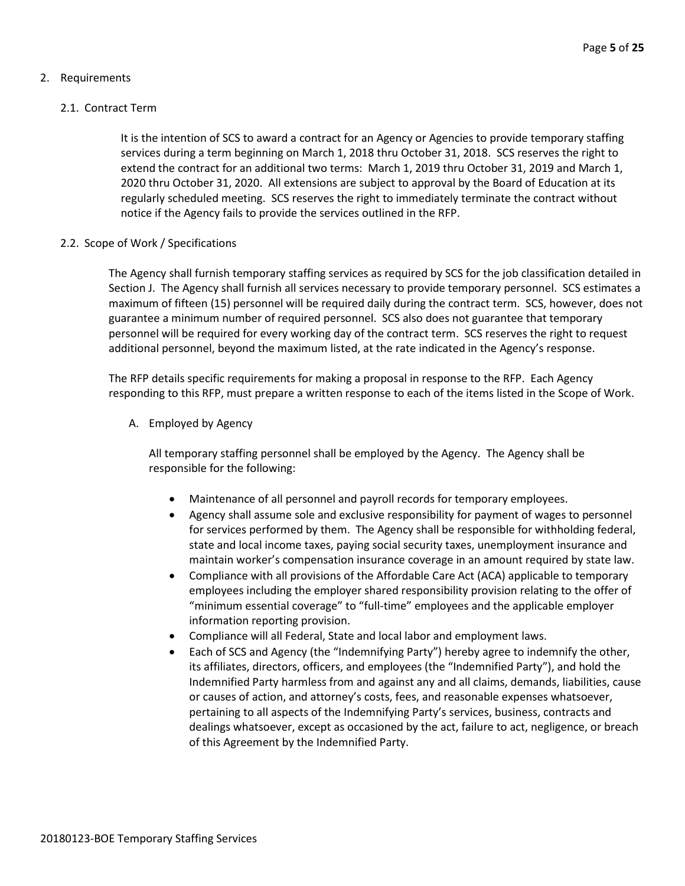#### 2. Requirements

#### 2.1. Contract Term

It is the intention of SCS to award a contract for an Agency or Agencies to provide temporary staffing services during a term beginning on March 1, 2018 thru October 31, 2018. SCS reserves the right to extend the contract for an additional two terms: March 1, 2019 thru October 31, 2019 and March 1, 2020 thru October 31, 2020. All extensions are subject to approval by the Board of Education at its regularly scheduled meeting. SCS reserves the right to immediately terminate the contract without notice if the Agency fails to provide the services outlined in the RFP.

#### 2.2. Scope of Work / Specifications

The Agency shall furnish temporary staffing services as required by SCS for the job classification detailed in Section J. The Agency shall furnish all services necessary to provide temporary personnel. SCS estimates a maximum of fifteen (15) personnel will be required daily during the contract term. SCS, however, does not guarantee a minimum number of required personnel. SCS also does not guarantee that temporary personnel will be required for every working day of the contract term. SCS reserves the right to request additional personnel, beyond the maximum listed, at the rate indicated in the Agency's response.

The RFP details specific requirements for making a proposal in response to the RFP. Each Agency responding to this RFP, must prepare a written response to each of the items listed in the Scope of Work.

A. Employed by Agency

All temporary staffing personnel shall be employed by the Agency. The Agency shall be responsible for the following:

- Maintenance of all personnel and payroll records for temporary employees.
- Agency shall assume sole and exclusive responsibility for payment of wages to personnel for services performed by them. The Agency shall be responsible for withholding federal, state and local income taxes, paying social security taxes, unemployment insurance and maintain worker's compensation insurance coverage in an amount required by state law.
- Compliance with all provisions of the Affordable Care Act (ACA) applicable to temporary employees including the employer shared responsibility provision relating to the offer of "minimum essential coverage" to "full-time" employees and the applicable employer information reporting provision.
- Compliance will all Federal, State and local labor and employment laws.
- Each of SCS and Agency (the "Indemnifying Party") hereby agree to indemnify the other, its affiliates, directors, officers, and employees (the "Indemnified Party"), and hold the Indemnified Party harmless from and against any and all claims, demands, liabilities, cause or causes of action, and attorney's costs, fees, and reasonable expenses whatsoever, pertaining to all aspects of the Indemnifying Party's services, business, contracts and dealings whatsoever, except as occasioned by the act, failure to act, negligence, or breach of this Agreement by the Indemnified Party.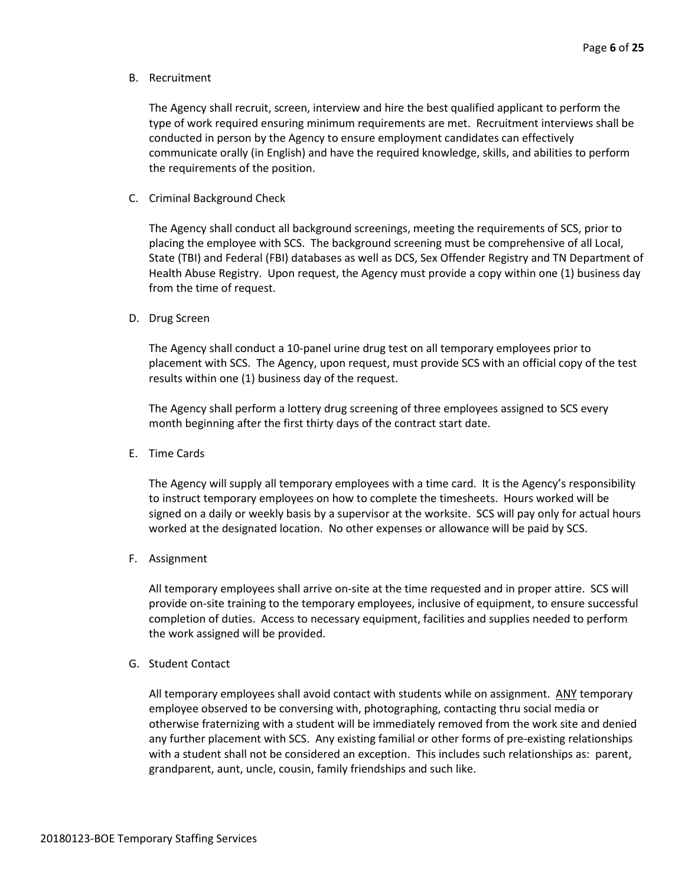B. Recruitment

The Agency shall recruit, screen, interview and hire the best qualified applicant to perform the type of work required ensuring minimum requirements are met. Recruitment interviews shall be conducted in person by the Agency to ensure employment candidates can effectively communicate orally (in English) and have the required knowledge, skills, and abilities to perform the requirements of the position.

C. Criminal Background Check

The Agency shall conduct all background screenings, meeting the requirements of SCS, prior to placing the employee with SCS. The background screening must be comprehensive of all Local, State (TBI) and Federal (FBI) databases as well as DCS, Sex Offender Registry and TN Department of Health Abuse Registry. Upon request, the Agency must provide a copy within one (1) business day from the time of request.

D. Drug Screen

The Agency shall conduct a 10-panel urine drug test on all temporary employees prior to placement with SCS. The Agency, upon request, must provide SCS with an official copy of the test results within one (1) business day of the request.

The Agency shall perform a lottery drug screening of three employees assigned to SCS every month beginning after the first thirty days of the contract start date.

E. Time Cards

The Agency will supply all temporary employees with a time card. It is the Agency's responsibility to instruct temporary employees on how to complete the timesheets. Hours worked will be signed on a daily or weekly basis by a supervisor at the worksite. SCS will pay only for actual hours worked at the designated location. No other expenses or allowance will be paid by SCS.

F. Assignment

All temporary employees shall arrive on-site at the time requested and in proper attire. SCS will provide on-site training to the temporary employees, inclusive of equipment, to ensure successful completion of duties. Access to necessary equipment, facilities and supplies needed to perform the work assigned will be provided.

G. Student Contact

All temporary employees shall avoid contact with students while on assignment. ANY temporary employee observed to be conversing with, photographing, contacting thru social media or otherwise fraternizing with a student will be immediately removed from the work site and denied any further placement with SCS. Any existing familial or other forms of pre-existing relationships with a student shall not be considered an exception. This includes such relationships as: parent, grandparent, aunt, uncle, cousin, family friendships and such like.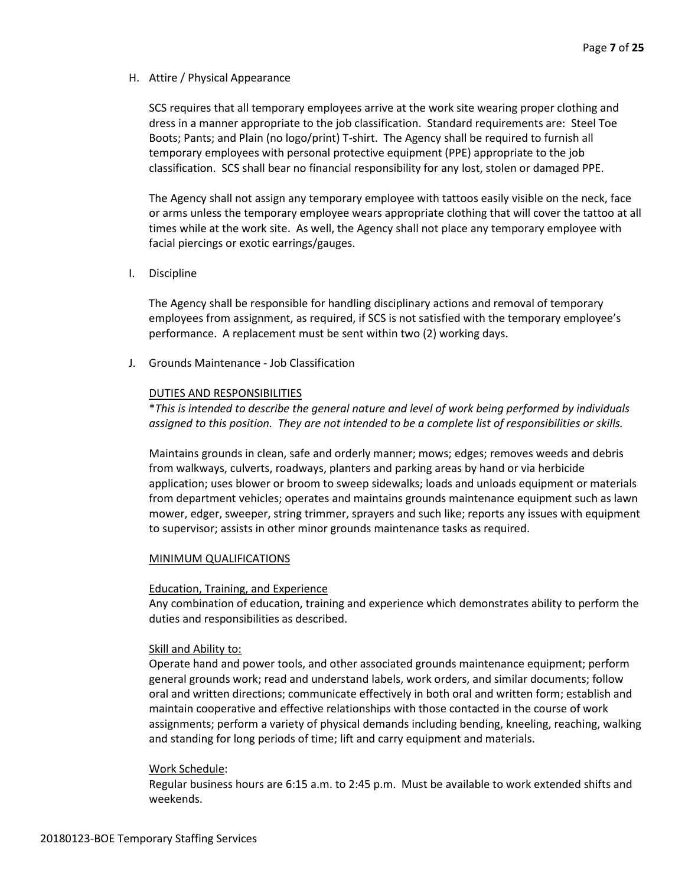#### H. Attire / Physical Appearance

SCS requires that all temporary employees arrive at the work site wearing proper clothing and dress in a manner appropriate to the job classification. Standard requirements are: Steel Toe Boots; Pants; and Plain (no logo/print) T-shirt. The Agency shall be required to furnish all temporary employees with personal protective equipment (PPE) appropriate to the job classification. SCS shall bear no financial responsibility for any lost, stolen or damaged PPE.

The Agency shall not assign any temporary employee with tattoos easily visible on the neck, face or arms unless the temporary employee wears appropriate clothing that will cover the tattoo at all times while at the work site. As well, the Agency shall not place any temporary employee with facial piercings or exotic earrings/gauges.

I. Discipline

The Agency shall be responsible for handling disciplinary actions and removal of temporary employees from assignment, as required, if SCS is not satisfied with the temporary employee's performance. A replacement must be sent within two (2) working days.

J. Grounds Maintenance - Job Classification

#### DUTIES AND RESPONSIBILITIES

\**This is intended to describe the general nature and level of work being performed by individuals assigned to this position. They are not intended to be a complete list of responsibilities or skills.*

Maintains grounds in clean, safe and orderly manner; mows; edges; removes weeds and debris from walkways, culverts, roadways, planters and parking areas by hand or via herbicide application; uses blower or broom to sweep sidewalks; loads and unloads equipment or materials from department vehicles; operates and maintains grounds maintenance equipment such as lawn mower, edger, sweeper, string trimmer, sprayers and such like; reports any issues with equipment to supervisor; assists in other minor grounds maintenance tasks as required.

#### MINIMUM QUALIFICATIONS

#### Education, Training, and Experience

Any combination of education, training and experience which demonstrates ability to perform the duties and responsibilities as described.

#### Skill and Ability to:

Operate hand and power tools, and other associated grounds maintenance equipment; perform general grounds work; read and understand labels, work orders, and similar documents; follow oral and written directions; communicate effectively in both oral and written form; establish and maintain cooperative and effective relationships with those contacted in the course of work assignments; perform a variety of physical demands including bending, kneeling, reaching, walking and standing for long periods of time; lift and carry equipment and materials.

#### Work Schedule:

Regular business hours are 6:15 a.m. to 2:45 p.m. Must be available to work extended shifts and weekends.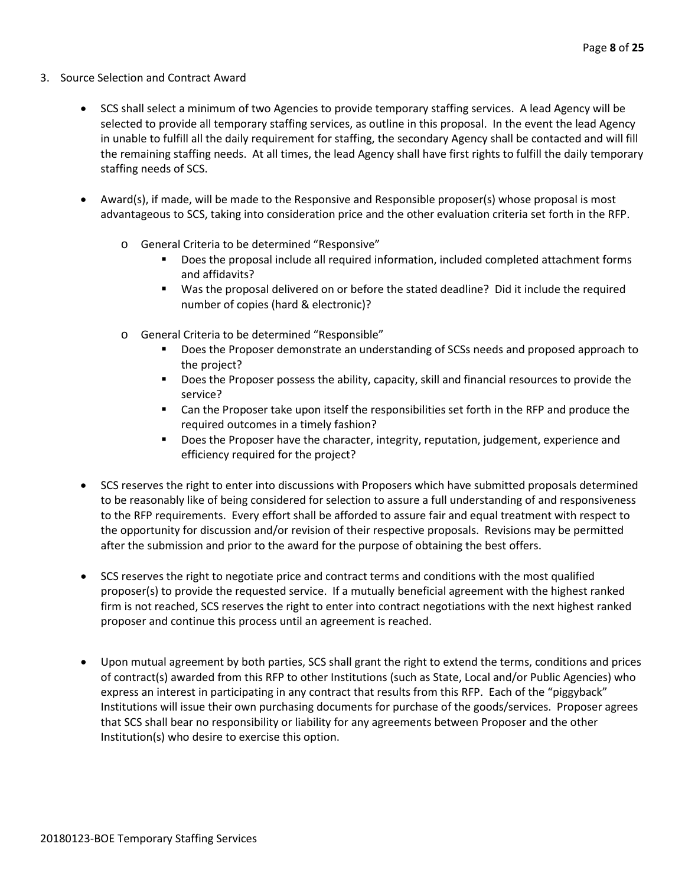- 3. Source Selection and Contract Award
	- SCS shall select a minimum of two Agencies to provide temporary staffing services. A lead Agency will be selected to provide all temporary staffing services, as outline in this proposal. In the event the lead Agency in unable to fulfill all the daily requirement for staffing, the secondary Agency shall be contacted and will fill the remaining staffing needs. At all times, the lead Agency shall have first rights to fulfill the daily temporary staffing needs of SCS.
	- Award(s), if made, will be made to the Responsive and Responsible proposer(s) whose proposal is most advantageous to SCS, taking into consideration price and the other evaluation criteria set forth in the RFP.
		- o General Criteria to be determined "Responsive"
			- Does the proposal include all required information, included completed attachment forms and affidavits?
			- Was the proposal delivered on or before the stated deadline? Did it include the required number of copies (hard & electronic)?
		- o General Criteria to be determined "Responsible"
			- **Does the Proposer demonstrate an understanding of SCSs needs and proposed approach to** the project?
			- **Does the Proposer possess the ability, capacity, skill and financial resources to provide the** service?
			- Can the Proposer take upon itself the responsibilities set forth in the RFP and produce the required outcomes in a timely fashion?
			- **Does the Proposer have the character, integrity, reputation, judgement, experience and** efficiency required for the project?
	- SCS reserves the right to enter into discussions with Proposers which have submitted proposals determined to be reasonably like of being considered for selection to assure a full understanding of and responsiveness to the RFP requirements. Every effort shall be afforded to assure fair and equal treatment with respect to the opportunity for discussion and/or revision of their respective proposals. Revisions may be permitted after the submission and prior to the award for the purpose of obtaining the best offers.
	- SCS reserves the right to negotiate price and contract terms and conditions with the most qualified proposer(s) to provide the requested service. If a mutually beneficial agreement with the highest ranked firm is not reached, SCS reserves the right to enter into contract negotiations with the next highest ranked proposer and continue this process until an agreement is reached.
	- Upon mutual agreement by both parties, SCS shall grant the right to extend the terms, conditions and prices of contract(s) awarded from this RFP to other Institutions (such as State, Local and/or Public Agencies) who express an interest in participating in any contract that results from this RFP. Each of the "piggyback" Institutions will issue their own purchasing documents for purchase of the goods/services. Proposer agrees that SCS shall bear no responsibility or liability for any agreements between Proposer and the other Institution(s) who desire to exercise this option.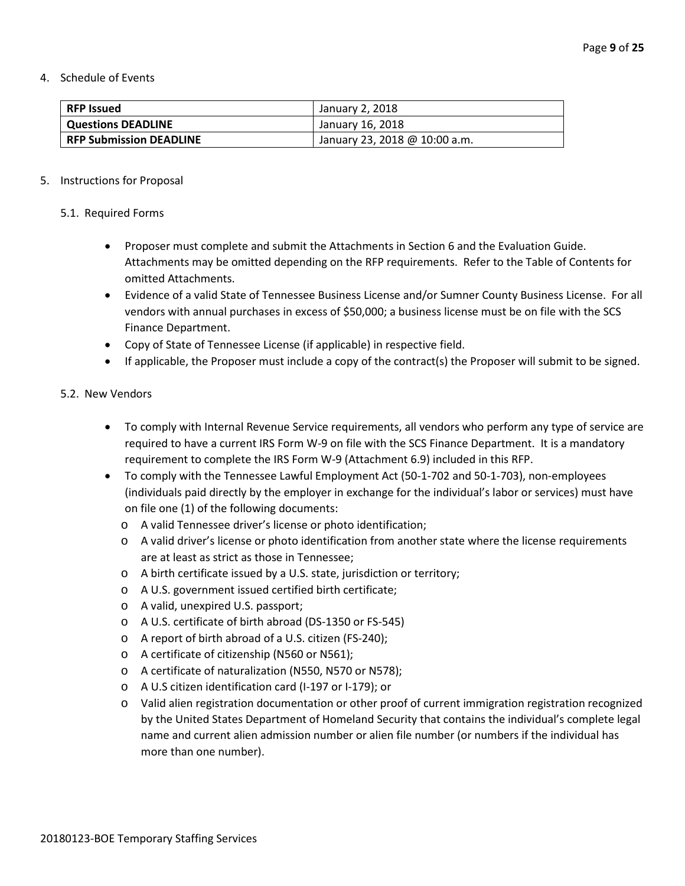4. Schedule of Events

| <b>RFP Issued</b>              | January 2, 2018               |
|--------------------------------|-------------------------------|
| <b>Questions DEADLINE</b>      | January 16, 2018              |
| <b>RFP Submission DEADLINE</b> | January 23, 2018 @ 10:00 a.m. |

#### 5. Instructions for Proposal

#### 5.1. Required Forms

- Proposer must complete and submit the Attachments in Section 6 and the Evaluation Guide. Attachments may be omitted depending on the RFP requirements. Refer to the Table of Contents for omitted Attachments.
- Evidence of a valid State of Tennessee Business License and/or Sumner County Business License. For all vendors with annual purchases in excess of \$50,000; a business license must be on file with the SCS Finance Department.
- Copy of State of Tennessee License (if applicable) in respective field.
- If applicable, the Proposer must include a copy of the contract(s) the Proposer will submit to be signed.

#### 5.2. New Vendors

- To comply with Internal Revenue Service requirements, all vendors who perform any type of service are required to have a current IRS Form W-9 on file with the SCS Finance Department. It is a mandatory requirement to complete the IRS Form W-9 (Attachment 6.9) included in this RFP.
- To comply with the Tennessee Lawful Employment Act (50-1-702 and 50-1-703), non-employees (individuals paid directly by the employer in exchange for the individual's labor or services) must have on file one (1) of the following documents:
	- o A valid Tennessee driver's license or photo identification;
	- o A valid driver's license or photo identification from another state where the license requirements are at least as strict as those in Tennessee;
	- o A birth certificate issued by a U.S. state, jurisdiction or territory;
	- o A U.S. government issued certified birth certificate;
	- o A valid, unexpired U.S. passport;
	- o A U.S. certificate of birth abroad (DS-1350 or FS-545)
	- o A report of birth abroad of a U.S. citizen (FS-240);
	- o A certificate of citizenship (N560 or N561);
	- o A certificate of naturalization (N550, N570 or N578);
	- o A U.S citizen identification card (I-197 or I-179); or
	- o Valid alien registration documentation or other proof of current immigration registration recognized by the United States Department of Homeland Security that contains the individual's complete legal name and current alien admission number or alien file number (or numbers if the individual has more than one number).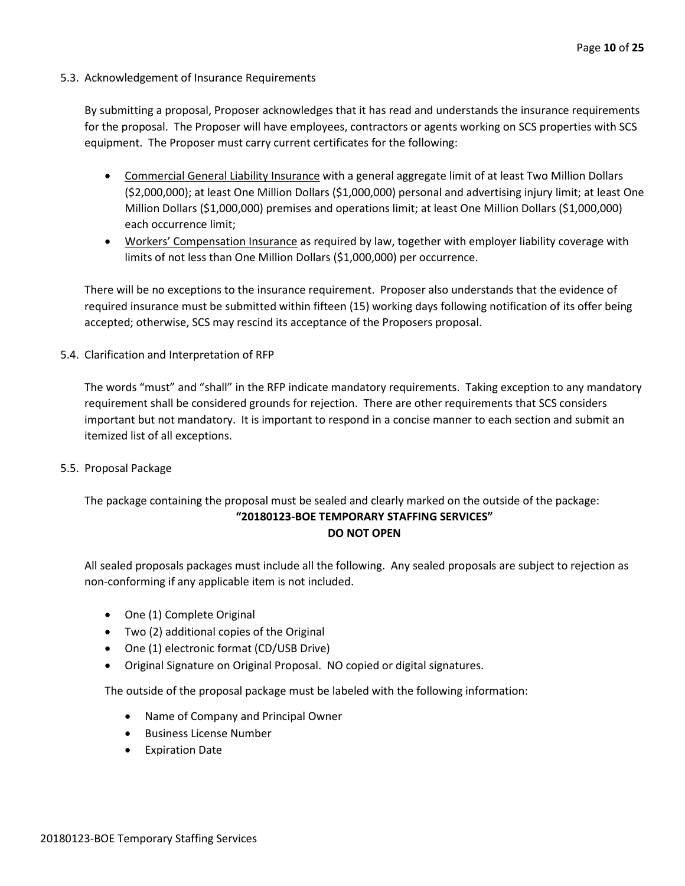#### 5.3. Acknowledgement of Insurance Requirements

By submitting a proposal, Proposer acknowledges that it has read and understands the insurance requirements for the proposal. The Proposer will have employees, contractors or agents working on SCS properties with SCS equipment. The Proposer must carry current certificates for the following:

- Commercial General Liability Insurance with a general aggregate limit of at least Two Million Dollars (\$2,000,000); at least One Million Dollars (\$1,000,000) personal and advertising injury limit; at least One Million Dollars (\$1,000,000) premises and operations limit; at least One Million Dollars (\$1,000,000) each occurrence limit;
- Workers' Compensation Insurance as required by law, together with employer liability coverage with limits of not less than One Million Dollars (\$1,000,000) per occurrence.

There will be no exceptions to the insurance requirement. Proposer also understands that the evidence of required insurance must be submitted within fifteen (15) working days following notification of its offer being accepted; otherwise, SCS may rescind its acceptance of the Proposers proposal.

5.4. Clarification and Interpretation of RFP

The words "must" and "shall" in the RFP indicate mandatory requirements. Taking exception to any mandatory requirement shall be considered grounds for rejection. There are other requirements that SCS considers important but not mandatory. It is important to respond in a concise manner to each section and submit an itemized list of all exceptions.

5.5. Proposal Package

#### The package containing the proposal must be sealed and clearly marked on the outside of the package: **"20180123-BOE TEMPORARY STAFFING SERVICES" DO NOT OPEN**

All sealed proposals packages must include all the following. Any sealed proposals are subject to rejection as non-conforming if any applicable item is not included.

- One (1) Complete Original
- Two (2) additional copies of the Original
- One (1) electronic format (CD/USB Drive)
- Original Signature on Original Proposal. NO copied or digital signatures.

The outside of the proposal package must be labeled with the following information:

- Name of Company and Principal Owner
- Business License Number
- Expiration Date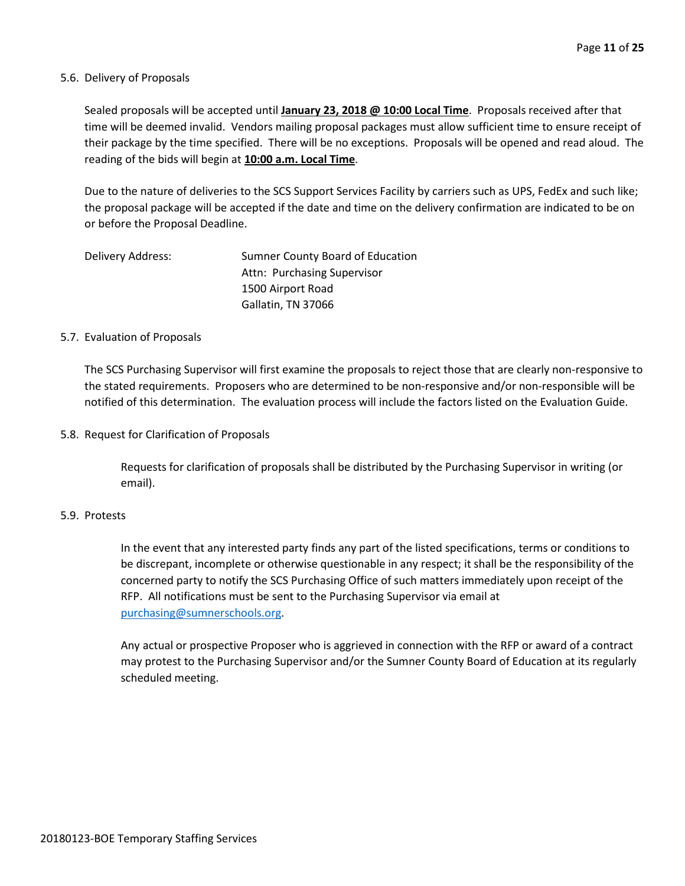#### 5.6. Delivery of Proposals

Sealed proposals will be accepted until **January 23, 2018 @ 10:00 Local Time**. Proposals received after that time will be deemed invalid. Vendors mailing proposal packages must allow sufficient time to ensure receipt of their package by the time specified. There will be no exceptions. Proposals will be opened and read aloud. The reading of the bids will begin at **10:00 a.m. Local Time**.

Due to the nature of deliveries to the SCS Support Services Facility by carriers such as UPS, FedEx and such like; the proposal package will be accepted if the date and time on the delivery confirmation are indicated to be on or before the Proposal Deadline.

| Delivery Address: | Sumner County Board of Education |
|-------------------|----------------------------------|
|                   | Attn: Purchasing Supervisor      |
|                   | 1500 Airport Road                |
|                   | Gallatin, TN 37066               |

#### 5.7. Evaluation of Proposals

The SCS Purchasing Supervisor will first examine the proposals to reject those that are clearly non-responsive to the stated requirements. Proposers who are determined to be non-responsive and/or non-responsible will be notified of this determination. The evaluation process will include the factors listed on the Evaluation Guide.

5.8. Request for Clarification of Proposals

Requests for clarification of proposals shall be distributed by the Purchasing Supervisor in writing (or email).

#### 5.9. Protests

In the event that any interested party finds any part of the listed specifications, terms or conditions to be discrepant, incomplete or otherwise questionable in any respect; it shall be the responsibility of the concerned party to notify the SCS Purchasing Office of such matters immediately upon receipt of the RFP. All notifications must be sent to the Purchasing Supervisor via email at [purchasing@sumnerschools.org.](mailto:purchasing@sumnerschools.org)

Any actual or prospective Proposer who is aggrieved in connection with the RFP or award of a contract may protest to the Purchasing Supervisor and/or the Sumner County Board of Education at its regularly scheduled meeting.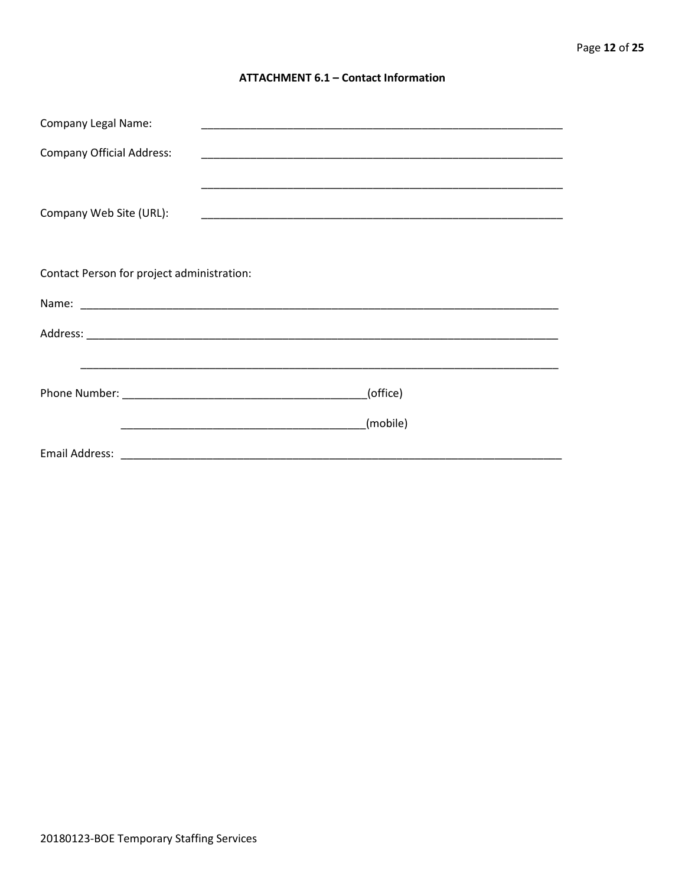#### **ATTACHMENT 6.1 - Contact Information**

| <b>Company Legal Name:</b>                 |          |  |  |
|--------------------------------------------|----------|--|--|
| <b>Company Official Address:</b>           |          |  |  |
|                                            |          |  |  |
| Company Web Site (URL):                    |          |  |  |
|                                            |          |  |  |
| Contact Person for project administration: |          |  |  |
|                                            |          |  |  |
|                                            |          |  |  |
|                                            |          |  |  |
|                                            | (office) |  |  |
|                                            | (mobile) |  |  |
|                                            |          |  |  |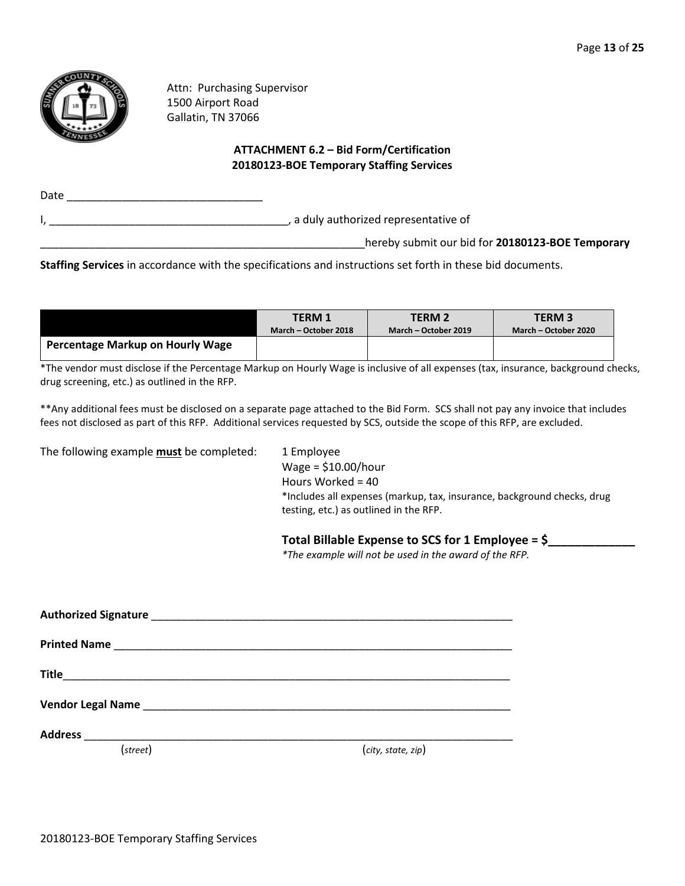

Attn: Purchasing Supervisor 1500 Airport Road Gallatin, TN 37066

#### **ATTACHMENT 6.2 – Bid Form/Certification 20180123-BOE Temporary Staffing Services**

| Date |                                                  |
|------|--------------------------------------------------|
|      | , a duly authorized representative of            |
|      | hereby submit our bid for 20180123-BOE Temporary |

**Staffing Services** in accordance with the specifications and instructions set forth in these bid documents.

|                                  | <b>TERM 1</b>        | <b>TERM 2</b>        | <b>TERM3</b>         |
|----------------------------------|----------------------|----------------------|----------------------|
|                                  | March – October 2018 | March – October 2019 | March – October 2020 |
| Percentage Markup on Hourly Wage |                      |                      |                      |

\*The vendor must disclose if the Percentage Markup on Hourly Wage is inclusive of all expenses (tax, insurance, background checks, drug screening, etc.) as outlined in the RFP.

\*\*Any additional fees must be disclosed on a separate page attached to the Bid Form. SCS shall not pay any invoice that includes fees not disclosed as part of this RFP. Additional services requested by SCS, outside the scope of this RFP, are excluded.

The following example **must** be completed: 1 Employee

Wage = \$10.00/hour Hours Worked = 40 \*Includes all expenses (markup, tax, insurance, background checks, drug testing, etc.) as outlined in the RFP.

#### **Total Billable Expense to SCS for 1 Employee = \$\_\_\_\_\_\_\_\_\_\_\_\_\_**

*\*The example will not be used in the award of the RFP.*

| Vendor Legal Name <b>Maria Community Community</b> Contract of the Community Community Community Community Community |                    |  |  |
|----------------------------------------------------------------------------------------------------------------------|--------------------|--|--|
|                                                                                                                      |                    |  |  |
| (street)                                                                                                             | (city, state, zip) |  |  |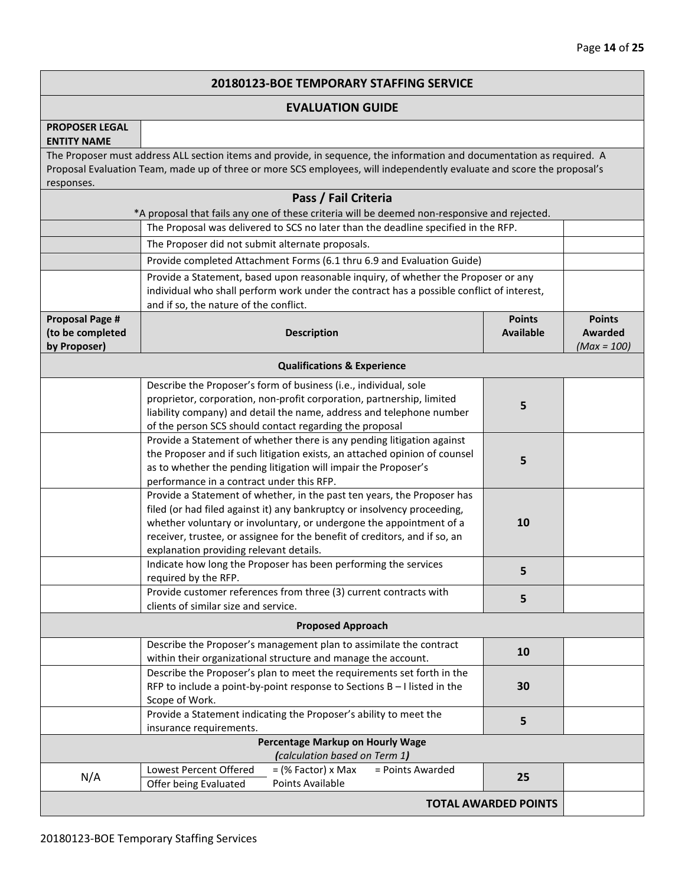#### **20180123-BOE TEMPORARY STAFFING SERVICE**

#### **EVALUATION GUIDE**

#### **PROPOSER LEGAL ENTITY NAME**

The Proposer must address ALL section items and provide, in sequence, the information and documentation as required. A Proposal Evaluation Team, made up of three or more SCS employees, will independently evaluate and score the proposal's responses.

|                                                            | Pass / Fail Criteria                                                                                                                                                                                                                                                                                                                                |                                   |                                                  |
|------------------------------------------------------------|-----------------------------------------------------------------------------------------------------------------------------------------------------------------------------------------------------------------------------------------------------------------------------------------------------------------------------------------------------|-----------------------------------|--------------------------------------------------|
|                                                            | *A proposal that fails any one of these criteria will be deemed non-responsive and rejected.<br>The Proposal was delivered to SCS no later than the deadline specified in the RFP.                                                                                                                                                                  |                                   |                                                  |
|                                                            |                                                                                                                                                                                                                                                                                                                                                     |                                   |                                                  |
|                                                            | The Proposer did not submit alternate proposals.                                                                                                                                                                                                                                                                                                    |                                   |                                                  |
|                                                            | Provide completed Attachment Forms (6.1 thru 6.9 and Evaluation Guide)                                                                                                                                                                                                                                                                              |                                   |                                                  |
|                                                            | Provide a Statement, based upon reasonable inquiry, of whether the Proposer or any<br>individual who shall perform work under the contract has a possible conflict of interest,<br>and if so, the nature of the conflict.                                                                                                                           |                                   |                                                  |
| <b>Proposal Page #</b><br>(to be completed<br>by Proposer) | <b>Description</b>                                                                                                                                                                                                                                                                                                                                  | <b>Points</b><br><b>Available</b> | <b>Points</b><br><b>Awarded</b><br>$(Max = 100)$ |
|                                                            | <b>Qualifications &amp; Experience</b>                                                                                                                                                                                                                                                                                                              |                                   |                                                  |
|                                                            | Describe the Proposer's form of business (i.e., individual, sole<br>proprietor, corporation, non-profit corporation, partnership, limited<br>liability company) and detail the name, address and telephone number<br>of the person SCS should contact regarding the proposal                                                                        | 5                                 |                                                  |
|                                                            | Provide a Statement of whether there is any pending litigation against<br>the Proposer and if such litigation exists, an attached opinion of counsel<br>as to whether the pending litigation will impair the Proposer's<br>performance in a contract under this RFP.                                                                                | 5                                 |                                                  |
|                                                            | Provide a Statement of whether, in the past ten years, the Proposer has<br>filed (or had filed against it) any bankruptcy or insolvency proceeding,<br>whether voluntary or involuntary, or undergone the appointment of a<br>receiver, trustee, or assignee for the benefit of creditors, and if so, an<br>explanation providing relevant details. | 10                                |                                                  |
|                                                            | Indicate how long the Proposer has been performing the services<br>required by the RFP.                                                                                                                                                                                                                                                             | 5                                 |                                                  |
|                                                            | Provide customer references from three (3) current contracts with<br>clients of similar size and service.                                                                                                                                                                                                                                           | 5                                 |                                                  |
|                                                            | <b>Proposed Approach</b>                                                                                                                                                                                                                                                                                                                            |                                   |                                                  |
|                                                            | Describe the Proposer's management plan to assimilate the contract<br>within their organizational structure and manage the account.                                                                                                                                                                                                                 | 10                                |                                                  |
|                                                            | Describe the Proposer's plan to meet the requirements set forth in the<br>RFP to include a point-by-point response to Sections $B - I$ listed in the<br>Scope of Work.                                                                                                                                                                              | 30                                |                                                  |
|                                                            | Provide a Statement indicating the Proposer's ability to meet the<br>insurance requirements.                                                                                                                                                                                                                                                        | 5                                 |                                                  |
|                                                            | Percentage Markup on Hourly Wage<br>(calculation based on Term 1)                                                                                                                                                                                                                                                                                   |                                   |                                                  |
| N/A                                                        | Lowest Percent Offered<br>= Points Awarded<br>$=$ (% Factor) x Max<br>Points Available<br>Offer being Evaluated                                                                                                                                                                                                                                     | 25                                |                                                  |
|                                                            |                                                                                                                                                                                                                                                                                                                                                     | <b>TOTAL AWARDED POINTS</b>       |                                                  |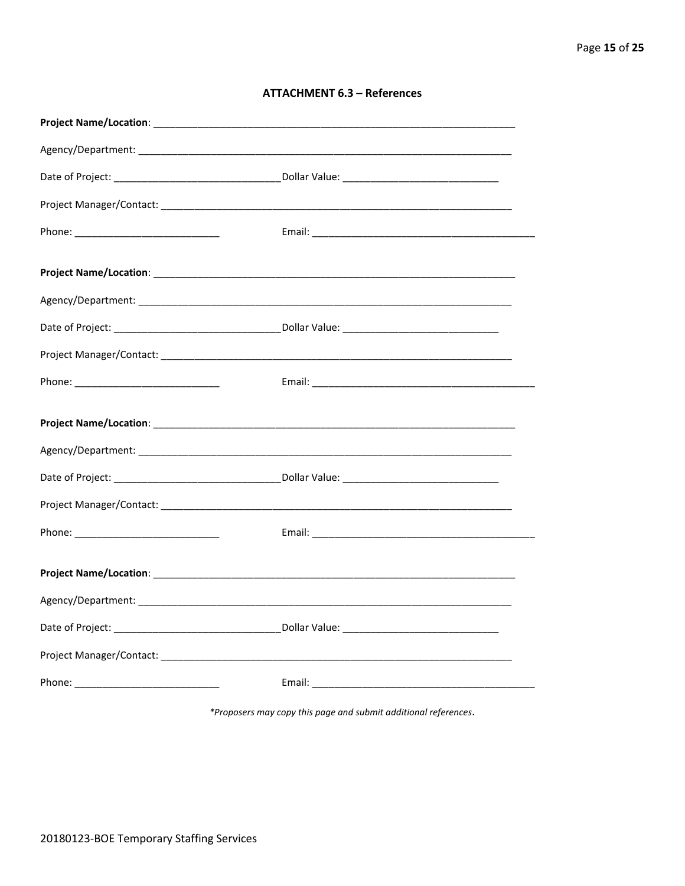#### **ATTACHMENT 6.3 - References**

\*Proposers may copy this page and submit additional references.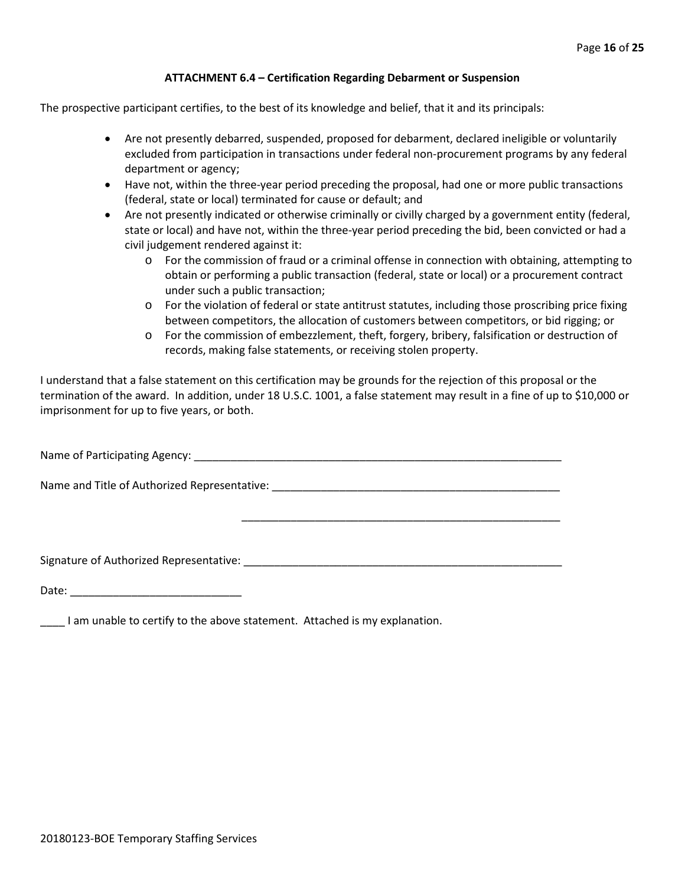#### **ATTACHMENT 6.4 – Certification Regarding Debarment or Suspension**

The prospective participant certifies, to the best of its knowledge and belief, that it and its principals:

- Are not presently debarred, suspended, proposed for debarment, declared ineligible or voluntarily excluded from participation in transactions under federal non-procurement programs by any federal department or agency;
- Have not, within the three-year period preceding the proposal, had one or more public transactions (federal, state or local) terminated for cause or default; and
- Are not presently indicated or otherwise criminally or civilly charged by a government entity (federal, state or local) and have not, within the three-year period preceding the bid, been convicted or had a civil judgement rendered against it:
	- $\circ$  For the commission of fraud or a criminal offense in connection with obtaining, attempting to obtain or performing a public transaction (federal, state or local) or a procurement contract under such a public transaction;
	- o For the violation of federal or state antitrust statutes, including those proscribing price fixing between competitors, the allocation of customers between competitors, or bid rigging; or
	- o For the commission of embezzlement, theft, forgery, bribery, falsification or destruction of records, making false statements, or receiving stolen property.

\_\_\_\_\_\_\_\_\_\_\_\_\_\_\_\_\_\_\_\_\_\_\_\_\_\_\_\_\_\_\_\_\_\_\_\_\_\_\_\_\_\_\_\_\_\_\_\_\_\_\_\_

I understand that a false statement on this certification may be grounds for the rejection of this proposal or the termination of the award. In addition, under 18 U.S.C. 1001, a false statement may result in a fine of up to \$10,000 or imprisonment for up to five years, or both.

Name of Participating Agency: \_\_\_\_\_\_\_\_\_\_\_\_\_\_\_\_\_\_\_\_\_\_\_\_\_\_\_\_\_\_\_\_\_\_\_\_\_\_\_\_\_\_\_\_\_\_\_\_\_\_\_\_\_\_\_\_\_\_\_\_

Name and Title of Authorized Representative: \_\_\_\_\_\_\_\_\_\_\_\_\_\_\_\_\_\_\_\_\_\_\_\_\_\_\_\_\_\_\_\_\_\_\_\_\_\_\_\_\_\_\_\_\_\_\_

Signature of Authorized Representative: \_\_\_\_\_\_\_\_\_\_\_\_\_\_\_\_\_\_\_\_\_\_\_\_\_\_\_\_\_\_\_\_\_\_\_\_\_\_\_\_\_\_\_\_\_\_\_\_\_\_\_\_

Date: \_\_\_\_\_\_\_\_\_\_\_\_\_\_\_\_\_\_\_\_\_\_\_\_\_\_\_\_

\_\_\_\_ I am unable to certify to the above statement. Attached is my explanation.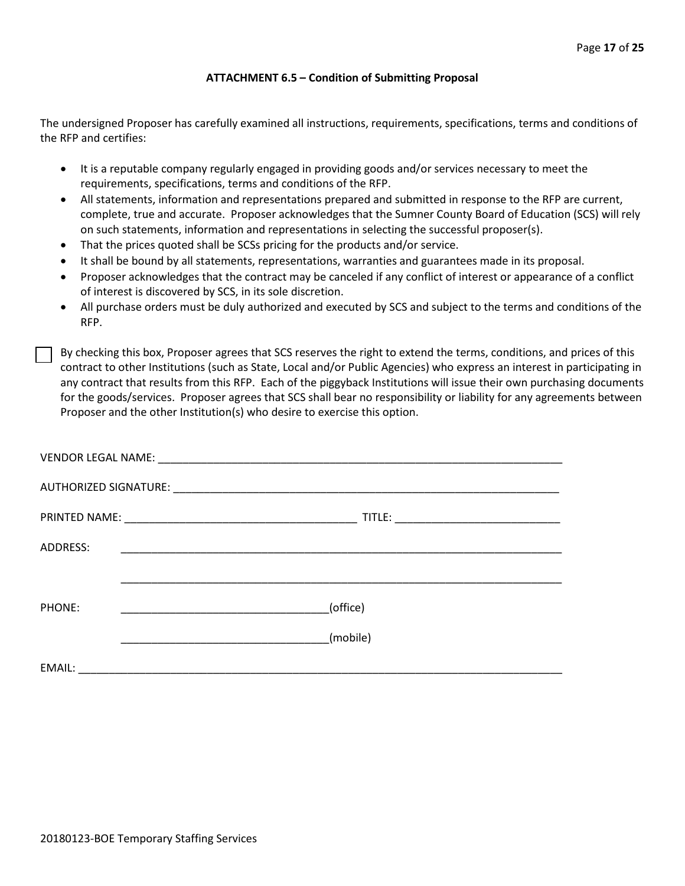#### **ATTACHMENT 6.5 – Condition of Submitting Proposal**

The undersigned Proposer has carefully examined all instructions, requirements, specifications, terms and conditions of the RFP and certifies:

- It is a reputable company regularly engaged in providing goods and/or services necessary to meet the requirements, specifications, terms and conditions of the RFP.
- All statements, information and representations prepared and submitted in response to the RFP are current, complete, true and accurate. Proposer acknowledges that the Sumner County Board of Education (SCS) will rely on such statements, information and representations in selecting the successful proposer(s).
- That the prices quoted shall be SCSs pricing for the products and/or service.
- It shall be bound by all statements, representations, warranties and guarantees made in its proposal.
- Proposer acknowledges that the contract may be canceled if any conflict of interest or appearance of a conflict of interest is discovered by SCS, in its sole discretion.
- All purchase orders must be duly authorized and executed by SCS and subject to the terms and conditions of the RFP.

By checking this box, Proposer agrees that SCS reserves the right to extend the terms, conditions, and prices of this contract to other Institutions (such as State, Local and/or Public Agencies) who express an interest in participating in any contract that results from this RFP. Each of the piggyback Institutions will issue their own purchasing documents for the goods/services. Proposer agrees that SCS shall bear no responsibility or liability for any agreements between Proposer and the other Institution(s) who desire to exercise this option.

| ADDRESS: | <u> 1989 - Johann John Stein, mars an deutscher Stein und der Stein und der Stein und der Stein und der Stein und</u> |
|----------|-----------------------------------------------------------------------------------------------------------------------|
|          |                                                                                                                       |
| PHONE:   | (office)                                                                                                              |
|          | (mobile)                                                                                                              |
| EMAIL:   | <u> 2000 - Jan Barnett, amerikan bestein den bestehende aus dem Barnett der Besteht und der Barnett der Barnett u</u> |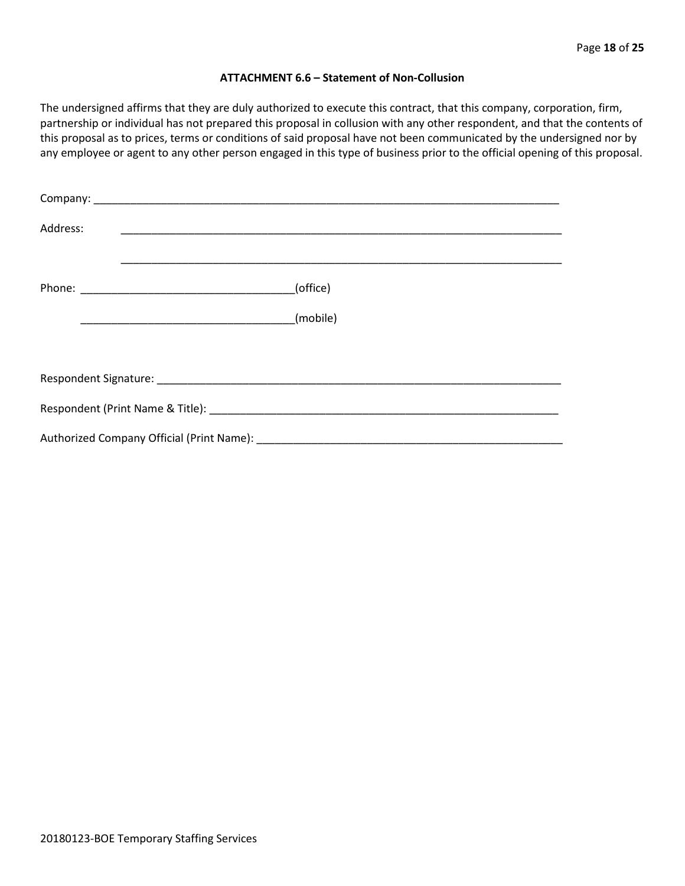#### **ATTACHMENT 6.6 – Statement of Non-Collusion**

The undersigned affirms that they are duly authorized to execute this contract, that this company, corporation, firm, partnership or individual has not prepared this proposal in collusion with any other respondent, and that the contents of this proposal as to prices, terms or conditions of said proposal have not been communicated by the undersigned nor by any employee or agent to any other person engaged in this type of business prior to the official opening of this proposal.

| Address: |          |  |
|----------|----------|--|
|          | (office) |  |
|          | (mobile) |  |
|          |          |  |
|          |          |  |
|          |          |  |
|          |          |  |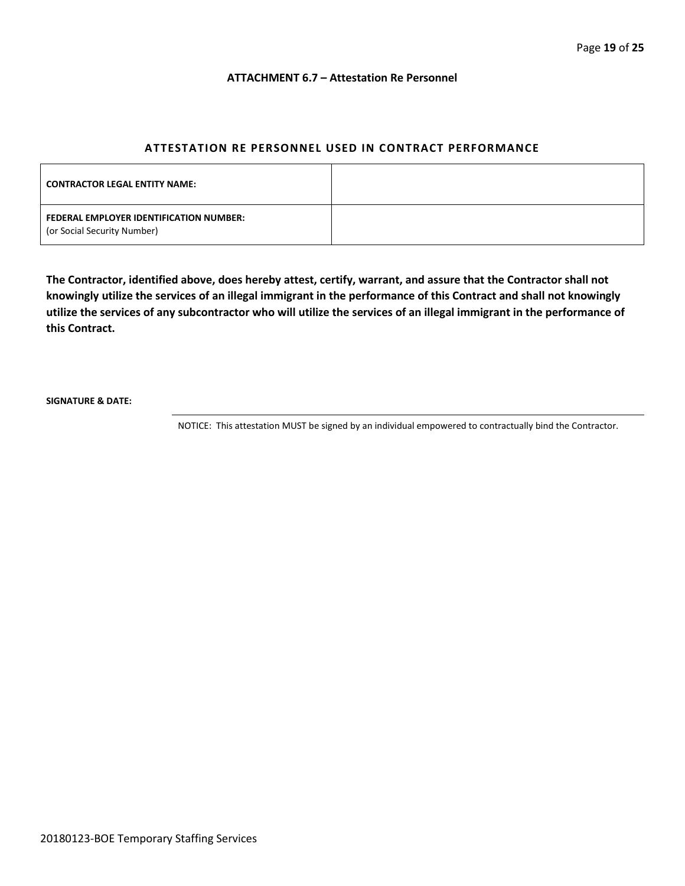#### **ATTACHMENT 6.7 – Attestation Re Personnel**

#### **ATTESTATION RE PERSONNEL USED IN CONTRACT PERFORMANCE**

| <b>CONTRACTOR LEGAL ENTITY NAME:</b>                                   |  |
|------------------------------------------------------------------------|--|
| FEDERAL EMPLOYER IDENTIFICATION NUMBER:<br>(or Social Security Number) |  |

**The Contractor, identified above, does hereby attest, certify, warrant, and assure that the Contractor shall not knowingly utilize the services of an illegal immigrant in the performance of this Contract and shall not knowingly utilize the services of any subcontractor who will utilize the services of an illegal immigrant in the performance of this Contract.**

**SIGNATURE & DATE:**

NOTICE: This attestation MUST be signed by an individual empowered to contractually bind the Contractor.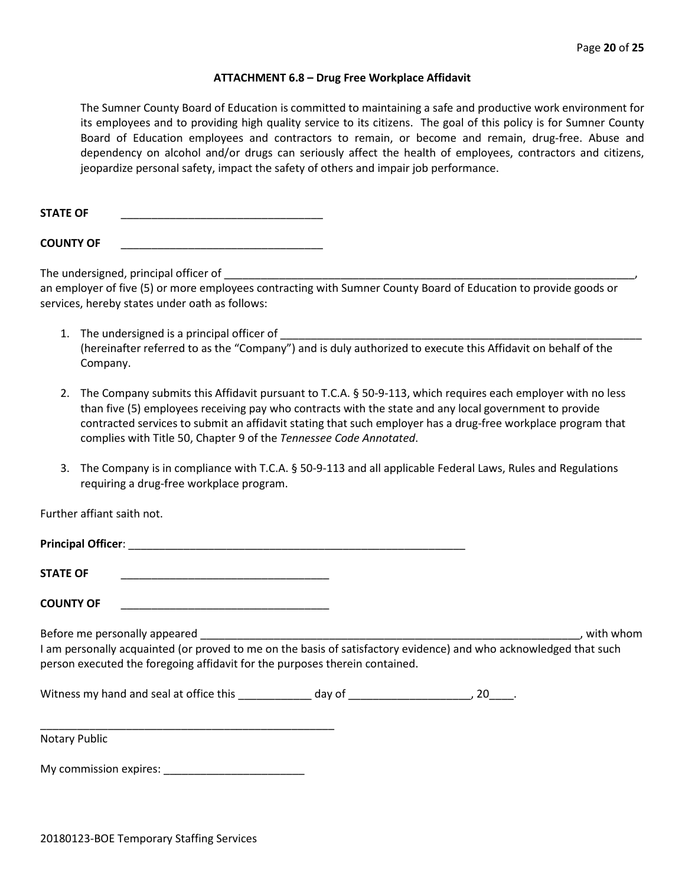#### **ATTACHMENT 6.8 – Drug Free Workplace Affidavit**

The Sumner County Board of Education is committed to maintaining a safe and productive work environment for its employees and to providing high quality service to its citizens. The goal of this policy is for Sumner County Board of Education employees and contractors to remain, or become and remain, drug-free. Abuse and dependency on alcohol and/or drugs can seriously affect the health of employees, contractors and citizens, jeopardize personal safety, impact the safety of others and impair job performance.

STATE OF

**COUNTY OF** \_\_\_\_\_\_\_\_\_\_\_\_\_\_\_\_\_\_\_\_\_\_\_\_\_\_\_\_\_\_\_\_\_

The undersigned, principal officer of

an employer of five (5) or more employees contracting with Sumner County Board of Education to provide goods or services, hereby states under oath as follows:

- 1. The undersigned is a principal officer of (hereinafter referred to as the "Company") and is duly authorized to execute this Affidavit on behalf of the Company.
- 2. The Company submits this Affidavit pursuant to T.C.A. § 50-9-113, which requires each employer with no less than five (5) employees receiving pay who contracts with the state and any local government to provide contracted services to submit an affidavit stating that such employer has a drug-free workplace program that complies with Title 50, Chapter 9 of the *Tennessee Code Annotated*.
- 3. The Company is in compliance with T.C.A. § 50-9-113 and all applicable Federal Laws, Rules and Regulations requiring a drug-free workplace program.

Further affiant saith not.

| <b>STATE OF</b><br><u> 1980 - Johann John Stone, markin amerikan bisa di sebagai pertama pertama pertama pertama pertama pertama pe</u> r                                                        |  |           |
|--------------------------------------------------------------------------------------------------------------------------------------------------------------------------------------------------|--|-----------|
| <b>COUNTY OF</b>                                                                                                                                                                                 |  |           |
|                                                                                                                                                                                                  |  | with whom |
| I am personally acquainted (or proved to me on the basis of satisfactory evidence) and who acknowledged that such<br>person executed the foregoing affidavit for the purposes therein contained. |  |           |
|                                                                                                                                                                                                  |  |           |
| <b>Notary Public</b>                                                                                                                                                                             |  |           |

My commission expires: \_\_\_\_\_\_\_\_\_\_\_\_\_\_\_\_\_\_\_\_\_\_\_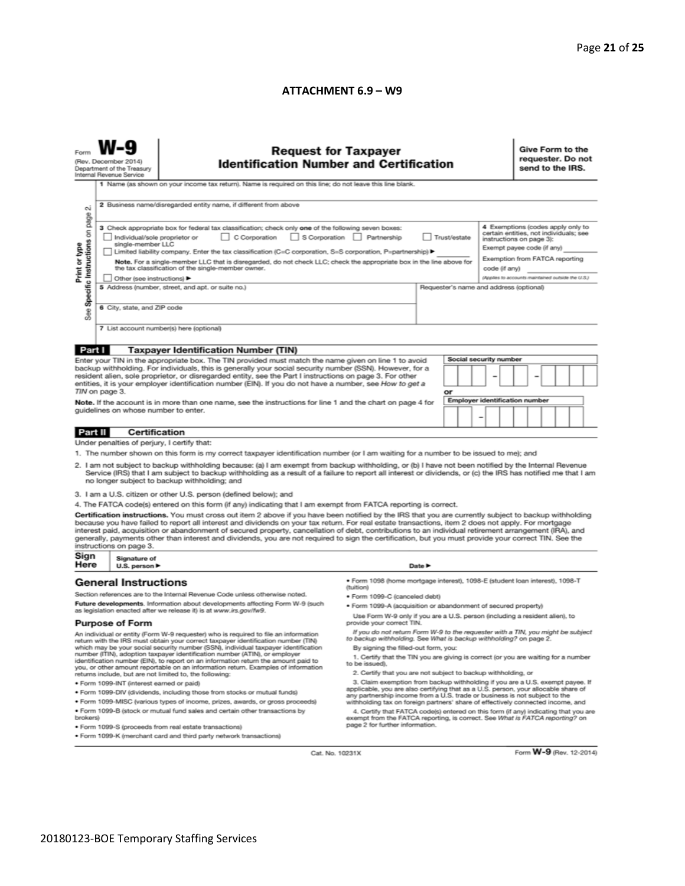#### **ATTACHMENT 6.9 – W9**

| <b>Request for Taxpayer</b><br>Form<br>(Rev. December 2014)<br><b>Identification Number and Certification</b><br>Department of the Treasury<br>Internal Revenue Service                                                                               |                                                                                                                                                                                                                                                                                                                                                                                                                        |                                                                                                                                                                                                                                                                                                                                                                                                                                                                                                                                                                                                                               |                                                                                                                                                                                              |        |                 |  |                                                                                                                                       | Give Form to the<br>requester. Do not<br>send to the IRS.                           |                                       |  |  |                         |
|-------------------------------------------------------------------------------------------------------------------------------------------------------------------------------------------------------------------------------------------------------|------------------------------------------------------------------------------------------------------------------------------------------------------------------------------------------------------------------------------------------------------------------------------------------------------------------------------------------------------------------------------------------------------------------------|-------------------------------------------------------------------------------------------------------------------------------------------------------------------------------------------------------------------------------------------------------------------------------------------------------------------------------------------------------------------------------------------------------------------------------------------------------------------------------------------------------------------------------------------------------------------------------------------------------------------------------|----------------------------------------------------------------------------------------------------------------------------------------------------------------------------------------------|--------|-----------------|--|---------------------------------------------------------------------------------------------------------------------------------------|-------------------------------------------------------------------------------------|---------------------------------------|--|--|-------------------------|
|                                                                                                                                                                                                                                                       |                                                                                                                                                                                                                                                                                                                                                                                                                        | 1 Name (as shown on your income tax return). Name is required on this line; do not leave this line blank.                                                                                                                                                                                                                                                                                                                                                                                                                                                                                                                     |                                                                                                                                                                                              |        |                 |  |                                                                                                                                       |                                                                                     |                                       |  |  |                         |
| σú<br>page                                                                                                                                                                                                                                            | 2 Business name/disregarded entity name, if different from above                                                                                                                                                                                                                                                                                                                                                       |                                                                                                                                                                                                                                                                                                                                                                                                                                                                                                                                                                                                                               |                                                                                                                                                                                              |        |                 |  |                                                                                                                                       |                                                                                     |                                       |  |  |                         |
|                                                                                                                                                                                                                                                       | 3 Check appropriate box for federal tax classification; check only one of the following seven boxes:<br>C Corporation<br>S Corporation Partnership<br>Individual/sole proprietor or<br>Trust/estate<br>single-member LLC<br>Limited liability company. Enter the tax classification (C=C corporation, S=S corporation, P=partnership) ▶                                                                                |                                                                                                                                                                                                                                                                                                                                                                                                                                                                                                                                                                                                                               |                                                                                                                                                                                              |        |                 |  | 4 Exemptions (codes apply only to<br>certain entities, not individuals; see<br>instructions on page 3):<br>Exempt payee code (if any) |                                                                                     |                                       |  |  |                         |
| Print or type<br>Note. For a single-member LLC that is disregarded, do not check LLC; check the appropriate box in the line above for<br>the tax classification of the single-member owner.                                                           |                                                                                                                                                                                                                                                                                                                                                                                                                        |                                                                                                                                                                                                                                                                                                                                                                                                                                                                                                                                                                                                                               |                                                                                                                                                                                              |        |                 |  | code (if any)                                                                                                                         | Exemption from FATCA reporting<br>(Applies to accounts maintained outside the U.S.) |                                       |  |  |                         |
| Specific Instructions on                                                                                                                                                                                                                              | Other (see instructions) ▶<br>5 Address (number, street, and apt. or suite no.)<br>Requester's name and address (optional)                                                                                                                                                                                                                                                                                             |                                                                                                                                                                                                                                                                                                                                                                                                                                                                                                                                                                                                                               |                                                                                                                                                                                              |        |                 |  |                                                                                                                                       |                                                                                     |                                       |  |  |                         |
| See                                                                                                                                                                                                                                                   | 6 City, state, and ZIP code                                                                                                                                                                                                                                                                                                                                                                                            |                                                                                                                                                                                                                                                                                                                                                                                                                                                                                                                                                                                                                               |                                                                                                                                                                                              |        |                 |  |                                                                                                                                       |                                                                                     |                                       |  |  |                         |
|                                                                                                                                                                                                                                                       |                                                                                                                                                                                                                                                                                                                                                                                                                        | 7 List account number(s) here (optional)                                                                                                                                                                                                                                                                                                                                                                                                                                                                                                                                                                                      |                                                                                                                                                                                              |        |                 |  |                                                                                                                                       |                                                                                     |                                       |  |  |                         |
| Part I                                                                                                                                                                                                                                                |                                                                                                                                                                                                                                                                                                                                                                                                                        | <b>Taxpayer Identification Number (TIN)</b>                                                                                                                                                                                                                                                                                                                                                                                                                                                                                                                                                                                   |                                                                                                                                                                                              |        |                 |  |                                                                                                                                       |                                                                                     |                                       |  |  |                         |
|                                                                                                                                                                                                                                                       |                                                                                                                                                                                                                                                                                                                                                                                                                        | Enter your TIN in the appropriate box. The TIN provided must match the name given on line 1 to avoid<br>backup withholding. For individuals, this is generally your social security number (SSN). However, for a                                                                                                                                                                                                                                                                                                                                                                                                              |                                                                                                                                                                                              |        |                 |  | Social security number                                                                                                                |                                                                                     |                                       |  |  |                         |
|                                                                                                                                                                                                                                                       |                                                                                                                                                                                                                                                                                                                                                                                                                        | resident alien, sole proprietor, or disregarded entity, see the Part I instructions on page 3. For other<br>entities, it is your employer identification number (EIN). If you do not have a number, see How to get a                                                                                                                                                                                                                                                                                                                                                                                                          |                                                                                                                                                                                              |        |                 |  |                                                                                                                                       |                                                                                     |                                       |  |  |                         |
|                                                                                                                                                                                                                                                       | TIN on page 3.                                                                                                                                                                                                                                                                                                                                                                                                         |                                                                                                                                                                                                                                                                                                                                                                                                                                                                                                                                                                                                                               |                                                                                                                                                                                              |        | or              |  |                                                                                                                                       |                                                                                     | <b>Employer identification number</b> |  |  |                         |
| Note. If the account is in more than one name, see the instructions for line 1 and the chart on page 4 for<br>quidelines on whose number to enter.                                                                                                    |                                                                                                                                                                                                                                                                                                                                                                                                                        |                                                                                                                                                                                                                                                                                                                                                                                                                                                                                                                                                                                                                               |                                                                                                                                                                                              |        | $\qquad \qquad$ |  |                                                                                                                                       |                                                                                     |                                       |  |  |                         |
| Part II                                                                                                                                                                                                                                               | Certification                                                                                                                                                                                                                                                                                                                                                                                                          |                                                                                                                                                                                                                                                                                                                                                                                                                                                                                                                                                                                                                               |                                                                                                                                                                                              |        |                 |  |                                                                                                                                       |                                                                                     |                                       |  |  |                         |
|                                                                                                                                                                                                                                                       | Under penalties of perjury, I certify that:                                                                                                                                                                                                                                                                                                                                                                            |                                                                                                                                                                                                                                                                                                                                                                                                                                                                                                                                                                                                                               |                                                                                                                                                                                              |        |                 |  |                                                                                                                                       |                                                                                     |                                       |  |  |                         |
|                                                                                                                                                                                                                                                       |                                                                                                                                                                                                                                                                                                                                                                                                                        | 1. The number shown on this form is my correct taxpayer identification number (or I am waiting for a number to be issued to me); and<br>2. I am not subject to backup withholding because: (a) I am exempt from backup withholding, or (b) I have not been notified by the Internal Revenue<br>Service (IRS) that I am subject to backup withholding as a result of a failure to report all interest or dividends, or (c) the IRS has notified me that I am                                                                                                                                                                   |                                                                                                                                                                                              |        |                 |  |                                                                                                                                       |                                                                                     |                                       |  |  |                         |
|                                                                                                                                                                                                                                                       |                                                                                                                                                                                                                                                                                                                                                                                                                        | no longer subject to backup withholding; and<br>3. I am a U.S. citizen or other U.S. person (defined below); and                                                                                                                                                                                                                                                                                                                                                                                                                                                                                                              |                                                                                                                                                                                              |        |                 |  |                                                                                                                                       |                                                                                     |                                       |  |  |                         |
|                                                                                                                                                                                                                                                       |                                                                                                                                                                                                                                                                                                                                                                                                                        | 4. The FATCA code(s) entered on this form (if any) indicating that I am exempt from FATCA reporting is correct.                                                                                                                                                                                                                                                                                                                                                                                                                                                                                                               |                                                                                                                                                                                              |        |                 |  |                                                                                                                                       |                                                                                     |                                       |  |  |                         |
|                                                                                                                                                                                                                                                       | instructions on page 3.                                                                                                                                                                                                                                                                                                                                                                                                | Certification instructions. You must cross out item 2 above if you have been notified by the IRS that you are currently subject to backup withholding<br>because you have failed to report all interest and dividends on your tax return. For real estate transactions, item 2 does not apply. For mortgage<br>interest paid, acquisition or abandonment of secured property, cancellation of debt, contributions to an individual retirement arrangement (IRA), and<br>generally, payments other than interest and dividends, you are not required to sign the certification, but you must provide your correct TIN. See the |                                                                                                                                                                                              |        |                 |  |                                                                                                                                       |                                                                                     |                                       |  |  |                         |
| Sign<br>Here                                                                                                                                                                                                                                          | Signature of<br>U.S. person $\blacktriangleright$                                                                                                                                                                                                                                                                                                                                                                      |                                                                                                                                                                                                                                                                                                                                                                                                                                                                                                                                                                                                                               |                                                                                                                                                                                              | Date P |                 |  |                                                                                                                                       |                                                                                     |                                       |  |  |                         |
|                                                                                                                                                                                                                                                       | <b>General Instructions</b>                                                                                                                                                                                                                                                                                                                                                                                            |                                                                                                                                                                                                                                                                                                                                                                                                                                                                                                                                                                                                                               | ● Form 1098 (home mortgage interest), 1098-E (student loan interest), 1098-T<br>(tuition)                                                                                                    |        |                 |  |                                                                                                                                       |                                                                                     |                                       |  |  |                         |
| Section references are to the Internal Revenue Code unless otherwise noted.<br>Future developments. Information about developments affecting Form W-9 (such                                                                                           |                                                                                                                                                                                                                                                                                                                                                                                                                        |                                                                                                                                                                                                                                                                                                                                                                                                                                                                                                                                                                                                                               | · Form 1099-C (canceled debt)<br>· Form 1099-A (acquisition or abandonment of secured property)                                                                                              |        |                 |  |                                                                                                                                       |                                                                                     |                                       |  |  |                         |
|                                                                                                                                                                                                                                                       | <b>Purpose of Form</b>                                                                                                                                                                                                                                                                                                                                                                                                 | as legislation enacted after we release it) is at www.irs.gov/fw9.                                                                                                                                                                                                                                                                                                                                                                                                                                                                                                                                                            | Use Form W-9 only if you are a U.S. person (including a resident alien), to<br>provide your correct TIN.                                                                                     |        |                 |  |                                                                                                                                       |                                                                                     |                                       |  |  |                         |
|                                                                                                                                                                                                                                                       |                                                                                                                                                                                                                                                                                                                                                                                                                        | An individual or entity (Form W-9 requester) who is required to file an information<br>return with the IRS must obtain your correct taxpayer identification number (TIN)<br>which may be your social security number (SSN), individual taxpayer identification                                                                                                                                                                                                                                                                                                                                                                | If you do not return Form W-9 to the requester with a TIN, you might be subject<br>to backup withholding. See What is backup withholding? on page 2.<br>By signing the filled-out form, you: |        |                 |  |                                                                                                                                       |                                                                                     |                                       |  |  |                         |
| number (ITIN), adoption taxpayer identification number (ATIN), or employer<br>identification number (EIN), to report on an information return the amount paid to<br>you, or other amount reportable on an information return. Examples of information |                                                                                                                                                                                                                                                                                                                                                                                                                        | 1. Certify that the TIN you are giving is correct (or you are waiting for a number<br>to be issued).<br>2. Certify that you are not subject to backup withholding, or                                                                                                                                                                                                                                                                                                                                                                                                                                                         |                                                                                                                                                                                              |        |                 |  |                                                                                                                                       |                                                                                     |                                       |  |  |                         |
|                                                                                                                                                                                                                                                       | . Form 1099-INT (interest earned or paid)                                                                                                                                                                                                                                                                                                                                                                              | returns include, but are not limited to, the following:                                                                                                                                                                                                                                                                                                                                                                                                                                                                                                                                                                       | 3. Claim exemption from backup withholding if you are a U.S. exempt payee. If                                                                                                                |        |                 |  |                                                                                                                                       |                                                                                     |                                       |  |  |                         |
|                                                                                                                                                                                                                                                       |                                                                                                                                                                                                                                                                                                                                                                                                                        | . Form 1099-DIV (dividends, including those from stocks or mutual funds)                                                                                                                                                                                                                                                                                                                                                                                                                                                                                                                                                      | applicable, you are also certifying that as a U.S. person, your allocable share of<br>any partnership income from a U.S. trade or business is not subject to the                             |        |                 |  |                                                                                                                                       |                                                                                     |                                       |  |  |                         |
| brokers)                                                                                                                                                                                                                                              | * Form 1099-MISC (various types of income, prizes, awards, or gross proceeds)<br>withholding tax on foreign partners' share of effectively connected income, and<br>. Form 1099-B (stock or mutual fund sales and certain other transactions by<br>4. Certify that FATCA code(s) entered on this form (if any) indicating that you are<br>exempt from the FATCA reporting, is correct. See What is FATCA reporting? on |                                                                                                                                                                                                                                                                                                                                                                                                                                                                                                                                                                                                                               |                                                                                                                                                                                              |        |                 |  |                                                                                                                                       |                                                                                     |                                       |  |  |                         |
|                                                                                                                                                                                                                                                       |                                                                                                                                                                                                                                                                                                                                                                                                                        | . Form 1099-S (proceeds from real estate transactions)<br>. Form 1099-K (merchant card and third party network transactions)                                                                                                                                                                                                                                                                                                                                                                                                                                                                                                  | page 2 for further information.                                                                                                                                                              |        |                 |  |                                                                                                                                       |                                                                                     |                                       |  |  |                         |
|                                                                                                                                                                                                                                                       |                                                                                                                                                                                                                                                                                                                                                                                                                        |                                                                                                                                                                                                                                                                                                                                                                                                                                                                                                                                                                                                                               |                                                                                                                                                                                              |        |                 |  |                                                                                                                                       |                                                                                     |                                       |  |  |                         |
|                                                                                                                                                                                                                                                       |                                                                                                                                                                                                                                                                                                                                                                                                                        | Cat. No. 10231X                                                                                                                                                                                                                                                                                                                                                                                                                                                                                                                                                                                                               |                                                                                                                                                                                              |        |                 |  |                                                                                                                                       |                                                                                     |                                       |  |  | Form W-9 (Rev. 12-2014) |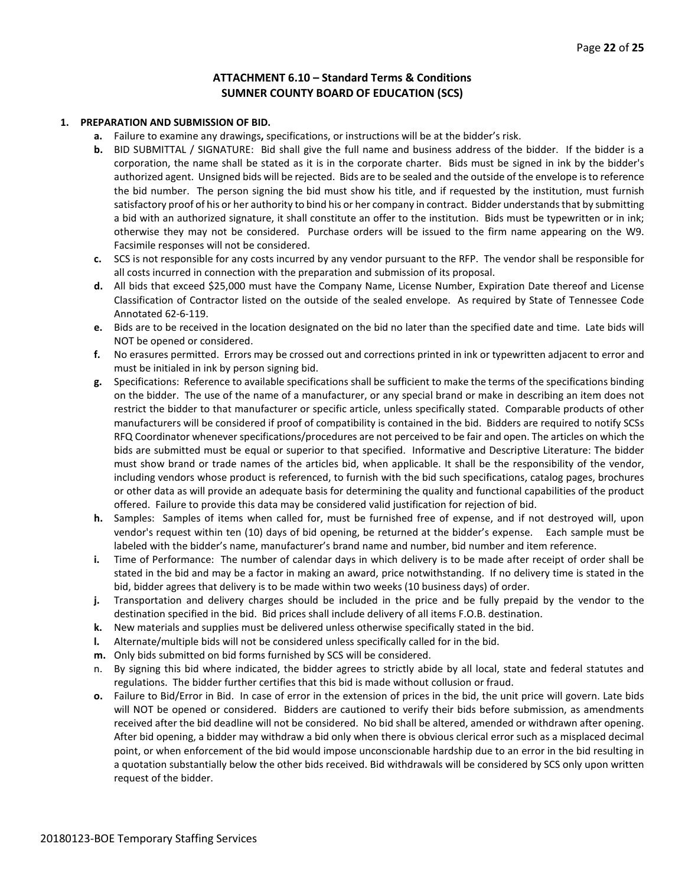#### **ATTACHMENT 6.10 – Standard Terms & Conditions SUMNER COUNTY BOARD OF EDUCATION (SCS)**

#### **1. PREPARATION AND SUBMISSION OF BID.**

- **a.** Failure to examine any drawings**,** specifications, or instructions will be at the bidder's risk.
- **b.** BID SUBMITTAL / SIGNATURE: Bid shall give the full name and business address of the bidder. If the bidder is a corporation, the name shall be stated as it is in the corporate charter. Bids must be signed in ink by the bidder's authorized agent. Unsigned bids will be rejected. Bids are to be sealed and the outside of the envelope is to reference the bid number. The person signing the bid must show his title, and if requested by the institution, must furnish satisfactory proof of his or her authority to bind his or her company in contract. Bidder understands that by submitting a bid with an authorized signature, it shall constitute an offer to the institution. Bids must be typewritten or in ink; otherwise they may not be considered. Purchase orders will be issued to the firm name appearing on the W9. Facsimile responses will not be considered.
- **c.** SCS is not responsible for any costs incurred by any vendor pursuant to the RFP. The vendor shall be responsible for all costs incurred in connection with the preparation and submission of its proposal.
- **d.** All bids that exceed \$25,000 must have the Company Name, License Number, Expiration Date thereof and License Classification of Contractor listed on the outside of the sealed envelope. As required by State of Tennessee Code Annotated 62-6-119.
- **e.** Bids are to be received in the location designated on the bid no later than the specified date and time. Late bids will NOT be opened or considered.
- **f.** No erasures permitted. Errors may be crossed out and corrections printed in ink or typewritten adjacent to error and must be initialed in ink by person signing bid.
- **g.** Specifications: Reference to available specifications shall be sufficient to make the terms of the specifications binding on the bidder. The use of the name of a manufacturer, or any special brand or make in describing an item does not restrict the bidder to that manufacturer or specific article, unless specifically stated. Comparable products of other manufacturers will be considered if proof of compatibility is contained in the bid. Bidders are required to notify SCSs RFQ Coordinator whenever specifications/procedures are not perceived to be fair and open. The articles on which the bids are submitted must be equal or superior to that specified. Informative and Descriptive Literature: The bidder must show brand or trade names of the articles bid, when applicable. It shall be the responsibility of the vendor, including vendors whose product is referenced, to furnish with the bid such specifications, catalog pages, brochures or other data as will provide an adequate basis for determining the quality and functional capabilities of the product offered. Failure to provide this data may be considered valid justification for rejection of bid.
- **h.** Samples: Samples of items when called for, must be furnished free of expense, and if not destroyed will, upon vendor's request within ten (10) days of bid opening, be returned at the bidder's expense. Each sample must be labeled with the bidder's name, manufacturer's brand name and number, bid number and item reference.
- **i.** Time of Performance: The number of calendar days in which delivery is to be made after receipt of order shall be stated in the bid and may be a factor in making an award, price notwithstanding. If no delivery time is stated in the bid, bidder agrees that delivery is to be made within two weeks (10 business days) of order.
- **j.** Transportation and delivery charges should be included in the price and be fully prepaid by the vendor to the destination specified in the bid. Bid prices shall include delivery of all items F.O.B. destination.
- **k.** New materials and supplies must be delivered unless otherwise specifically stated in the bid.
- **l.** Alternate/multiple bids will not be considered unless specifically called for in the bid.
- **m.** Only bids submitted on bid forms furnished by SCS will be considered.
- n. By signing this bid where indicated, the bidder agrees to strictly abide by all local, state and federal statutes and regulations. The bidder further certifies that this bid is made without collusion or fraud.
- **o.** Failure to Bid/Error in Bid. In case of error in the extension of prices in the bid, the unit price will govern. Late bids will NOT be opened or considered. Bidders are cautioned to verify their bids before submission, as amendments received after the bid deadline will not be considered. No bid shall be altered, amended or withdrawn after opening. After bid opening, a bidder may withdraw a bid only when there is obvious clerical error such as a misplaced decimal point, or when enforcement of the bid would impose unconscionable hardship due to an error in the bid resulting in a quotation substantially below the other bids received. Bid withdrawals will be considered by SCS only upon written request of the bidder.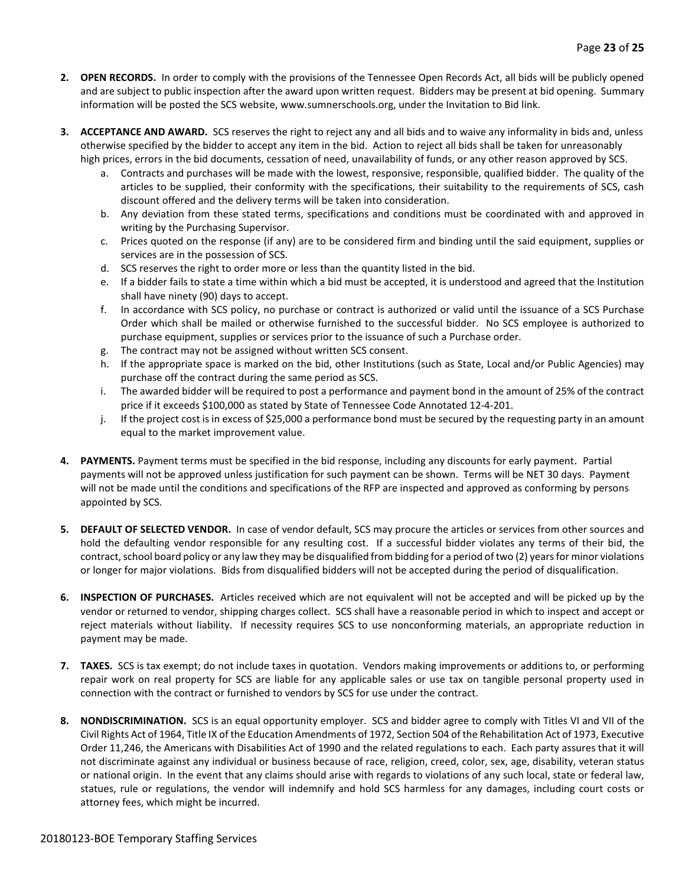- **2. OPEN RECORDS.** In order to comply with the provisions of the Tennessee Open Records Act, all bids will be publicly opened and are subject to public inspection after the award upon written request. Bidders may be present at bid opening. Summary information will be posted the SCS website, www.sumnerschools.org, under the Invitation to Bid link.
- **3. ACCEPTANCE AND AWARD.** SCS reserves the right to reject any and all bids and to waive any informality in bids and, unless otherwise specified by the bidder to accept any item in the bid. Action to reject all bids shall be taken for unreasonably high prices, errors in the bid documents, cessation of need, unavailability of funds, or any other reason approved by SCS.
	- a. Contracts and purchases will be made with the lowest, responsive, responsible, qualified bidder. The quality of the articles to be supplied, their conformity with the specifications, their suitability to the requirements of SCS, cash discount offered and the delivery terms will be taken into consideration.
	- b. Any deviation from these stated terms, specifications and conditions must be coordinated with and approved in writing by the Purchasing Supervisor.
	- c. Prices quoted on the response (if any) are to be considered firm and binding until the said equipment, supplies or services are in the possession of SCS.
	- d. SCS reserves the right to order more or less than the quantity listed in the bid.
	- e. If a bidder fails to state a time within which a bid must be accepted, it is understood and agreed that the Institution shall have ninety (90) days to accept.
	- f. In accordance with SCS policy, no purchase or contract is authorized or valid until the issuance of a SCS Purchase Order which shall be mailed or otherwise furnished to the successful bidder. No SCS employee is authorized to purchase equipment, supplies or services prior to the issuance of such a Purchase order.
	- g. The contract may not be assigned without written SCS consent.
	- h. If the appropriate space is marked on the bid, other Institutions (such as State, Local and/or Public Agencies) may purchase off the contract during the same period as SCS.
	- i. The awarded bidder will be required to post a performance and payment bond in the amount of 25% of the contract price if it exceeds \$100,000 as stated by State of Tennessee Code Annotated 12-4-201.
	- j. If the project cost is in excess of \$25,000 a performance bond must be secured by the requesting party in an amount equal to the market improvement value.
- **4. PAYMENTS.** Payment terms must be specified in the bid response, including any discounts for early payment. Partial payments will not be approved unless justification for such payment can be shown. Terms will be NET 30 days. Payment will not be made until the conditions and specifications of the RFP are inspected and approved as conforming by persons appointed by SCS.
- **5. DEFAULT OF SELECTED VENDOR.** In case of vendor default, SCS may procure the articles or services from other sources and hold the defaulting vendor responsible for any resulting cost. If a successful bidder violates any terms of their bid, the contract, school board policy or any law they may be disqualified from bidding for a period of two (2) years for minor violations or longer for major violations. Bids from disqualified bidders will not be accepted during the period of disqualification.
- **6. INSPECTION OF PURCHASES.** Articles received which are not equivalent will not be accepted and will be picked up by the vendor or returned to vendor, shipping charges collect. SCS shall have a reasonable period in which to inspect and accept or reject materials without liability. If necessity requires SCS to use nonconforming materials, an appropriate reduction in payment may be made.
- **7. TAXES.** SCS is tax exempt; do not include taxes in quotation. Vendors making improvements or additions to, or performing repair work on real property for SCS are liable for any applicable sales or use tax on tangible personal property used in connection with the contract or furnished to vendors by SCS for use under the contract.
- **8. NONDISCRIMINATION.** SCS is an equal opportunity employer. SCS and bidder agree to comply with Titles VI and VII of the Civil Rights Act of 1964, Title IX of the Education Amendments of 1972, Section 504 of the Rehabilitation Act of 1973, Executive Order 11,246, the Americans with Disabilities Act of 1990 and the related regulations to each. Each party assures that it will not discriminate against any individual or business because of race, religion, creed, color, sex, age, disability, veteran status or national origin. In the event that any claims should arise with regards to violations of any such local, state or federal law, statues, rule or regulations, the vendor will indemnify and hold SCS harmless for any damages, including court costs or attorney fees, which might be incurred.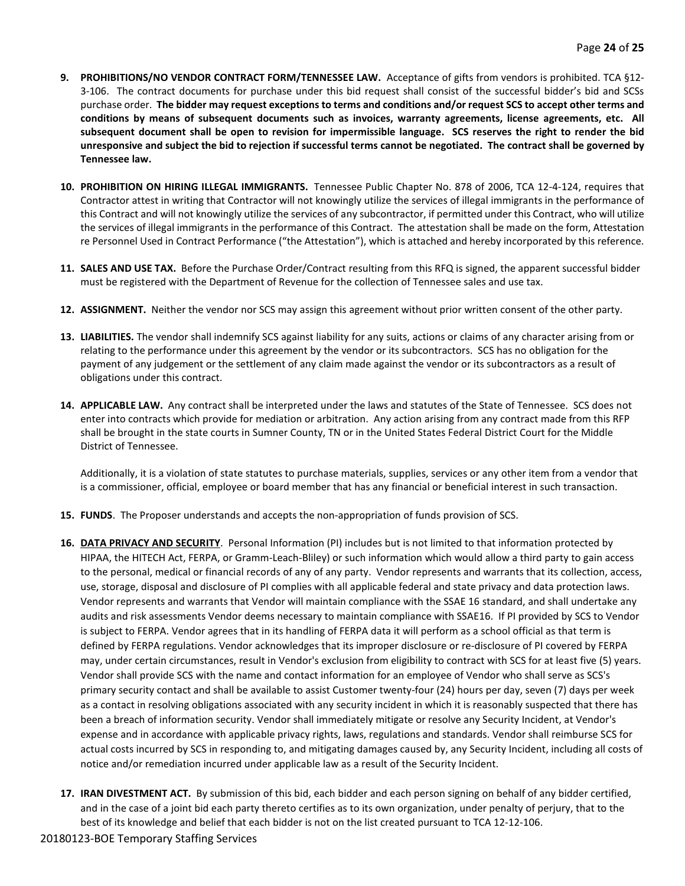- **9. PROHIBITIONS/NO VENDOR CONTRACT FORM/TENNESSEE LAW.** Acceptance of gifts from vendors is prohibited. TCA §12- 3-106. The contract documents for purchase under this bid request shall consist of the successful bidder's bid and SCSs purchase order. **The bidder may request exceptions to terms and conditions and/or request SCS to accept other terms and conditions by means of subsequent documents such as invoices, warranty agreements, license agreements, etc. All subsequent document shall be open to revision for impermissible language. SCS reserves the right to render the bid unresponsive and subject the bid to rejection if successful terms cannot be negotiated. The contract shall be governed by Tennessee law.**
- **10. PROHIBITION ON HIRING ILLEGAL IMMIGRANTS.** Tennessee Public Chapter No. 878 of 2006, TCA 12-4-124, requires that Contractor attest in writing that Contractor will not knowingly utilize the services of illegal immigrants in the performance of this Contract and will not knowingly utilize the services of any subcontractor, if permitted under this Contract, who will utilize the services of illegal immigrants in the performance of this Contract. The attestation shall be made on the form, Attestation re Personnel Used in Contract Performance ("the Attestation"), which is attached and hereby incorporated by this reference.
- **11. SALES AND USE TAX.** Before the Purchase Order/Contract resulting from this RFQ is signed, the apparent successful bidder must be registered with the Department of Revenue for the collection of Tennessee sales and use tax.
- **12. ASSIGNMENT.** Neither the vendor nor SCS may assign this agreement without prior written consent of the other party.
- **13. LIABILITIES.** The vendor shall indemnify SCS against liability for any suits, actions or claims of any character arising from or relating to the performance under this agreement by the vendor or its subcontractors. SCS has no obligation for the payment of any judgement or the settlement of any claim made against the vendor or its subcontractors as a result of obligations under this contract.
- **14. APPLICABLE LAW.** Any contract shall be interpreted under the laws and statutes of the State of Tennessee. SCS does not enter into contracts which provide for mediation or arbitration. Any action arising from any contract made from this RFP shall be brought in the state courts in Sumner County, TN or in the United States Federal District Court for the Middle District of Tennessee.

Additionally, it is a violation of state statutes to purchase materials, supplies, services or any other item from a vendor that is a commissioner, official, employee or board member that has any financial or beneficial interest in such transaction.

- **15. FUNDS**. The Proposer understands and accepts the non-appropriation of funds provision of SCS.
- **16. DATA PRIVACY AND SECURITY**. Personal Information (PI) includes but is not limited to that information protected by HIPAA, the HITECH Act, FERPA, or Gramm-Leach-Bliley) or such information which would allow a third party to gain access to the personal, medical or financial records of any of any party. Vendor represents and warrants that its collection, access, use, storage, disposal and disclosure of PI complies with all applicable federal and state privacy and data protection laws. Vendor represents and warrants that Vendor will maintain compliance with the SSAE 16 standard, and shall undertake any audits and risk assessments Vendor deems necessary to maintain compliance with SSAE16. If PI provided by SCS to Vendor is subject to FERPA. Vendor agrees that in its handling of FERPA data it will perform as a school official as that term is defined by FERPA regulations. Vendor acknowledges that its improper disclosure or re-disclosure of PI covered by FERPA may, under certain circumstances, result in Vendor's exclusion from eligibility to contract with SCS for at least five (5) years. Vendor shall provide SCS with the name and contact information for an employee of Vendor who shall serve as SCS's primary security contact and shall be available to assist Customer twenty-four (24) hours per day, seven (7) days per week as a contact in resolving obligations associated with any security incident in which it is reasonably suspected that there has been a breach of information security. Vendor shall immediately mitigate or resolve any Security Incident, at Vendor's expense and in accordance with applicable privacy rights, laws, regulations and standards. Vendor shall reimburse SCS for actual costs incurred by SCS in responding to, and mitigating damages caused by, any Security Incident, including all costs of notice and/or remediation incurred under applicable law as a result of the Security Incident.
- **17. IRAN DIVESTMENT ACT.** By submission of this bid, each bidder and each person signing on behalf of any bidder certified, and in the case of a joint bid each party thereto certifies as to its own organization, under penalty of perjury, that to the best of its knowledge and belief that each bidder is not on the list created pursuant to TCA 12-12-106.